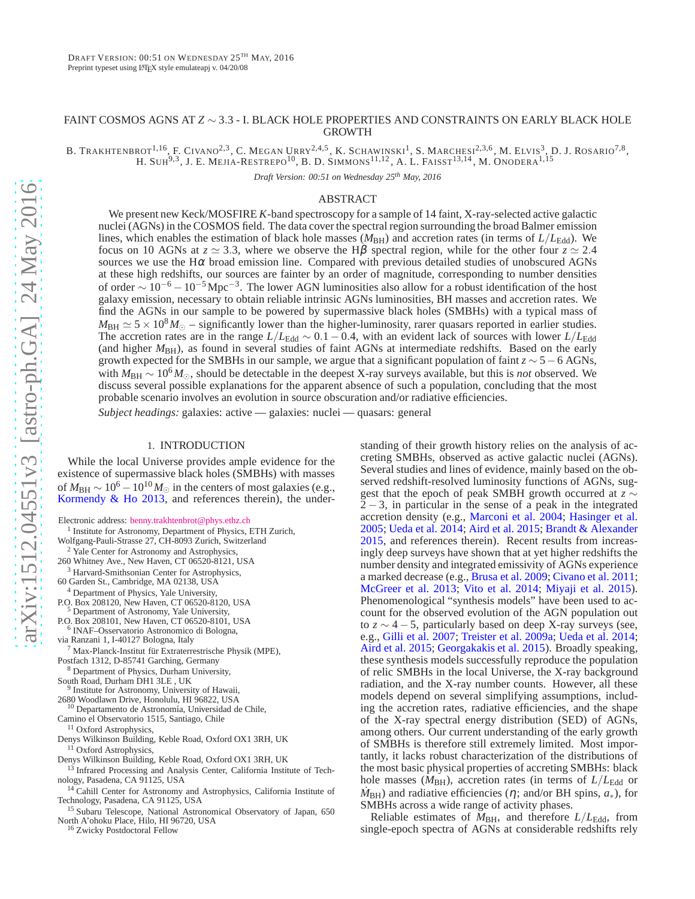## FAINT COSMOS AGNS AT *Z* ∼ 3.3 - I. BLACK HOLE PROPERTIES AND CONSTRAINTS ON EARLY BLACK HOLE GROWTH

B. TRAKHTENBROT<sup>1,16</sup>, F. CIVANO<sup>2,3</sup>, C. MEGAN URRY<sup>2,4,5</sup>, K. SCHAWINSKI<sup>1</sup>, S. MARCHESI<sup>2,3,6</sup>, M. ELVIS<sup>3</sup>, D. J. ROSARIO<sup>7,8</sup>,<br>H. SUH<sup>9,3</sup>, J. E. MEJIA-RESTREPO<sup>10</sup>, B. D. SIMMONS<sup>11,12</sup>, A. L. FAISST<sup>13,14</sup>, M. ONODE

*Draft Version: 00:51 on Wednesday 25th May, 2016*

## ABSTRACT

We present new Keck/MOSFIRE *K*-band spectroscopy for a sample of 14 faint, X-ray-selected active galactic nuclei (AGNs) in the COSMOS field. The data cover the spectral region surrounding the broad Balmer emission lines, which enables the estimation of black hole masses  $(M_{BH})$  and accretion rates (in terms of  $L/L_{Edd}$ ). We focus on 10 AGNs at  $z \approx 3.3$ , where we observe the H $\beta$  spectral region, while for the other four  $z \approx 2.4$ sources we use the H $\alpha$  broad emission line. Compared with previous detailed studies of unobscured AGNs at these high redshifts, our sources are fainter by an order of magnitude, corresponding to number densities of order  $\sim 10^{-6} - 10^{-5}$  Mpc<sup>-3</sup>. The lower AGN luminosities also allow for a robust identification of the host galaxy emission, necessary to obtain reliable intrinsic AGNs luminosities, BH masses and accretion rates. We find the AGNs in our sample to be powered by supermassive black holes (SMBHs) with a typical mass of  $M_{\rm BH} \simeq 5 \times 10^8 M_{\odot}$  – significantly lower than the higher-luminosity, rarer quasars reported in earlier studies. The accretion rates are in the range  $L/L_{\text{Edd}} \sim 0.1 - 0.4$ , with an evident lack of sources with lower  $L/L_{\text{Edd}}$ (and higher  $M_{\text{BH}}$ ), as found in several studies of faint AGNs at intermediate redshifts. Based on the early growth expected for the SMBHs in our sample, we argue that a significant population of faint  $z \sim 5-6$  AGNs, with *M*BH ∼ 10<sup>6</sup> *M*⊙, should be detectable in the deepest X-ray surveys available, but this is *not* observed. We discuss several possible explanations for the apparent absence of such a population, concluding that the most probable scenario involves an evolution in source obscuration and/or radiative efficiencies.

*Subject headings:* galaxies: active — galaxies: nuclei — quasars: general

### 1. INTRODUCTION

<span id="page-0-0"></span>While the local Universe provides ample evidence for the existence of supermassive black holes (SMBHs) with masses of  $M_{\text{BH}} \sim 10^6 - 10^{10} M_{\odot}$  in the centers of most galaxies (e.g., [Kormendy & Ho 2013](#page-15-0), and references therein), the under-

Electronic address: [benny.trakhtenbrot@phys.ethz.ch](mailto:benny.trakhtenbrot@phys.ethz.ch)

<sup>1</sup> Institute for Astronomy, Department of Physics, ETH Zurich,

Wolfgang-Pauli-Strasse 27, CH-8093 Zurich, Switzerland

<sup>2</sup> Yale Center for Astronomy and Astrophysics.

260 Whitney Ave., New Haven, CT 06520-8121, USA

<sup>3</sup> Harvard-Smithsonian Center for Astrophysics,

60 Garden St., Cambridge, MA 02138, USA

<sup>4</sup> Department of Physics, Yale University,

- P.O. Box 208120, New Haven, CT 06520-8120, USA <sup>5</sup> Department of Astronomy, Yale University,
- P.O. Box 208101, New Haven, CT 06520-8101, USA 6
- INAF–Osservatorio Astronomico di Bologna, via Ranzani 1, I-40127 Bologna, Italy
- Max-Planck-Institut für Extraterrestrische Physik (MPE), Postfach 1312, D-85741 Garching, Germany
- <sup>8</sup> Department of Physics, Durham University,
- South Road, Durham DH1 3LE , UK
- <sup>9</sup> Institute for Astronomy, University of Hawaii,
- 2680 Woodlawn Drive, Honolulu, HI 96822, USA<br><sup>10</sup> Departamento de Astronomía, Universidad de Chile,
- Camino el Observatorio 1515, Santiago, Chile

<sup>11</sup> Oxford Astrophysics,

- Denys Wilkinson Building, Keble Road, Oxford OX1 3RH, UK <sup>11</sup> Oxford Astrophysics,
- Denys Wilkinson Building, Keble Road, Oxford OX1 3RH, UK
- <sup>13</sup> Infrared Processing and Analysis Center, California Institute of Technology, Pasadena, CA 91125, USA
- <sup>14</sup> Cahill Center for Astronomy and Astrophysics, California Institute of Technology, Pasadena, CA 91125, USA

<sup>15</sup> Subaru Telescope, National Astronomical Observatory of Japan, 650 North A'ohoku Place, Hilo, HI 96720, USA

<sup>16</sup> Zwicky Postdoctoral Fellow

standing of their growth history relies on the analysis of accreting SMBHs, observed as active galactic nuclei (AGNs). Several studies and lines of evidence, mainly based on the observed redshift-resolved luminosity functions of AGNs, suggest that the epoch of peak SMBH growth occurred at *z* ∼  $2 - 3$ , in particular in the sense of a peak in the integrated accretion density (e.g., [Marconi et al. 2004;](#page-15-1) [Hasinger et al.](#page-15-2) [2005;](#page-15-2) [Ueda et al. 2014](#page-15-3); [Aird et al. 2015;](#page-15-4) [Brandt & Alexander](#page-15-5) [2015,](#page-15-5) and references therein). Recent results from increasingly deep surveys have shown that at yet higher redshifts the number density and integrated emissivity of AGNs experience a marked decrease (e.g., [Brusa et al. 2009;](#page-15-6) [Civano et al. 2011](#page-15-7); [McGreer et al. 2013](#page-15-8); [Vito et al. 2014;](#page-15-9) [Miyaji et al. 2015](#page-15-10)). Phenomenological "synthesis models" have been used to account for the observed evolution of the AGN population out to  $z \sim 4 - 5$ , particularly based on deep X-ray surveys (see, e.g., [Gilli et al. 2007](#page-15-11); [Treister et al. 2009a](#page-15-12); [Ueda et al. 2014](#page-15-3); [Aird et al. 2015;](#page-15-4) [Georgakakis et al. 2015](#page-15-13)). Broadly speaking, these synthesis models successfully reproduce the population of relic SMBHs in the local Universe, the X-ray background radiation, and the X-ray number counts. However, all these models depend on several simplifying assumptions, including the accretion rates, radiative efficiencies, and the shape of the X-ray spectral energy distribution (SED) of AGNs, among others. Our current understanding of the early growth of SMBHs is therefore still extremely limited. Most importantly, it lacks robust characterization of the distributions of the most basic physical properties of accreting SMBHs: black hole masses ( $M_{BH}$ ), accretion rates (in terms of  $L/L_{Edd}$  or  $\dot{M}_{BH}$ ) and radiative efficiencies ( $\eta$ ; and/or BH spins,  $a_*$ ), for SMBHs across a wide range of activity phases.

Reliable estimates of  $M_{\text{BH}}$ , and therefore  $L/L_{\text{Edd}}$ , from single-epoch spectra of AGNs at considerable redshifts rely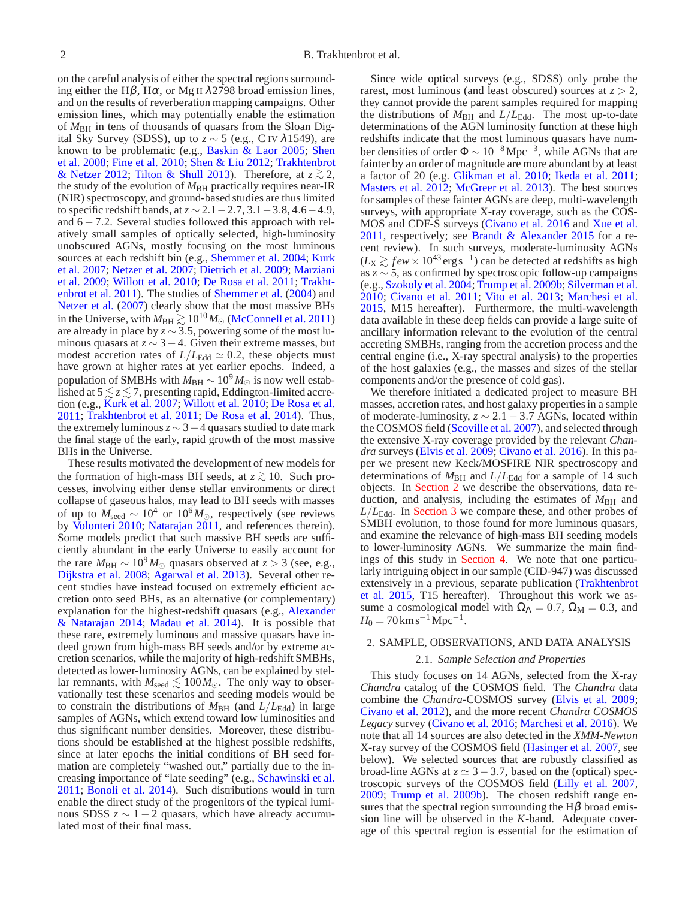on the careful analysis of either the spectral regions surrounding either the Hβ, Hα, or Mg II  $\lambda$ 2798 broad emission lines, and on the results of reverberation mapping campaigns. Other emission lines, which may potentially enable the estimation of  $M_{\text{BH}}$  in tens of thousands of quasars from the Sloan Digital Sky Survey (SDSS), up to  $z \sim 5$  (e.g., C IV  $\lambda$ 1549), are kno[wn to be problematic \(e.g.,](#page-15-15) [Baskin & Laor 2005;](#page-15-14) Shen et al. [2008](#page-15-15); [Fine et al. 2010](#page-15-16); [Shen & Liu 2012](#page-15-17)[;](#page-15-18) Trakhtenbrot & Netzer [2012;](#page-15-18) [Tilton & Shull 2013\)](#page-15-19). Therefore, at *z* <sup>&</sup>gt;∼ 2, the study of the evolution of  $M_{BH}$  practically requires near-IR (NIR) spectroscopy, and ground-based studies are thus limited to specific redshift bands, at *z* ∼ 2.1−2.7, 3.1−3.8, 4.6−4.9, and  $6 - 7.2$ . Several studies followed this approach with relatively small samples of optically selected, high-luminosity unobscured AGNs, mostly focusing on the most luminous sour[ces at each redshift bin \(e.g.,](#page-15-21) [Shemmer et al. 2004;](#page-15-20) Kurk et al. [2007](#page-15-21); [Netzer et al. 2007;](#page-15-22) [Dietrich et al. 2009](#page-15-23)[;](#page-15-24) Marziani et al. [2009;](#page-15-24) [Willott et al. 2010;](#page-15-25) [De Rosa et al. 2011;](#page-15-26) Trakhtenbrot et al. [2011\)](#page-15-27). The studies of [Shemmer et al.](#page-15-20) [\(2004](#page-15-20)) and [Netzer et al.](#page-15-22) [\(2007\)](#page-15-22) clearly show that the most massive BHs in the Universe, with  $M_{\rm BH} \gtrsim 10^{10} M_{\odot}$  [\(McConnell et al. 2011\)](#page-15-28) are already in place by *z* ∼ 3.5, powering some of the most luminous quasars at  $z \sim 3-4$ . Given their extreme masses, but modest accretion rates of  $L/L_{\text{Edd}} \simeq 0.2$ , these objects must have grown at higher rates at yet earlier epochs. Indeed, a population of SMBHs with  $M_{\rm BH} \sim 10^9 M_{\odot}$  is now well established at  $5 \lesssim z \lesssim 7$ , presenting rapid, Eddington-limited accretion (e.g., [Kurk et al. 2007](#page-15-21); [Willott et al. 2010](#page-15-25); [De Rosa et al.](#page-15-26) [2011;](#page-15-26) [Trakhtenbrot et al. 2011;](#page-15-27) [De Rosa et al. 2014\)](#page-15-29). Thus, the extremely luminous  $z \sim 3-4$  quasars studied to date mark the final stage of the early, rapid growth of the most massive BHs in the Universe.

These results motivated the development of new models for the formation of high-mass BH seeds, at *z* <sup>&</sup>gt;∼ 10. Such processes, involving either dense stellar environments or direct collapse of gaseous halos, may lead to BH seeds with masses of up to  $M_{\text{seed}} \sim 10^4$  or  $10^6 M_{\odot}$ , respectively (see reviews by [Volonteri 2010;](#page-15-30) [Natarajan 2011](#page-15-31), and references therein). Some models predict that such massive BH seeds are sufficiently abundant in the early Universe to easily account for the rare  $M_{\rm BH} \sim 10^9 M_{\odot}$  quasars observed at  $z > 3$  (see, e.g., [Dijkstra et al. 2008;](#page-15-32) [Agarwal et al. 2013](#page-14-0)). Several other recent studies have instead focused on extremely efficient accretion onto seed BHs, as an alternative (or complementary) explanation [for the highest-redshift quasars \(e.g.,](#page-15-33) Alexander & Natarajan [2014;](#page-15-33) [Madau et al. 2014](#page-15-34)). It is possible that these rare, extremely luminous and massive quasars have indeed grown from high-mass BH seeds and/or by extreme accretion scenarios, while the majority of high-redshift SMBHs, detected as lower-luminosity AGNs, can be explained by stellar remnants, with  $M_{\rm seed}\lesssim 100M_\odot.$  The only way to observationally test these scenarios and seeding models would be to constrain the distributions of  $M_{BH}$  (and  $L/L_{Edd}$ ) in large samples of AGNs, which extend toward low luminosities and thus significant number densities. Moreover, these distributions should be established at the highest possible redshifts, since at later epochs the initial conditions of BH seed formation are completely "washed out," partially due to the in-creasing importance of "late seeding" (e.g., [Schawinski et al.](#page-15-35) [2011;](#page-15-35) [Bonoli et al. 2014](#page-15-36)). Such distributions would in turn enable the direct study of the progenitors of the typical luminous SDSS  $z \sim 1 - 2$  quasars, which have already accumulated most of their final mass.

Since wide optical surveys (e.g., SDSS) only probe the rarest, most luminous (and least obscured) sources at  $z > 2$ , they cannot provide the parent samples required for mapping the distributions of  $M_{\text{BH}}$  and  $L/L_{\text{Edd}}$ . The most up-to-date determinations of the AGN luminosity function at these high redshifts indicate that the most luminous quasars have number densities of order  $\Phi \sim 10^{-8}$  Mpc<sup>-3</sup>, while AGNs that are fainter by an order of magnitude are more abundant by at least a factor of 20 (e.g. [Glikman et al. 2010;](#page-15-37) [Ikeda et al. 2011](#page-15-38); [Masters et al. 2012;](#page-15-39) [McGreer et al. 2013\)](#page-15-8). The best sources for samples of these fainter AGNs are deep, multi-wavelength surveys, with appropriate X-ray coverage, such as the COS-MOS and CDF-S surveys [\(Civano et al. 2016](#page-15-40) and [Xue et al.](#page-15-41) [2011,](#page-15-41) respectively; see [Brandt & Alexander 2015](#page-15-5) for a recent review). In such surveys, moderate-luminosity AGNs  $(L_X \gtrsim few \times 10^{43} \text{ erg s}^{-1})$  can be detected at redshifts as high as *z* ∼ 5, as confirmed by spectroscopic follow-up campaigns (e.g., [Szokoly et al. 2004;](#page-15-42) [Trump et al. 2009b](#page-15-43); [Silverman et al.](#page-15-44) [2010;](#page-15-44) [Civano et al. 2011](#page-15-7); [Vito et al. 2013;](#page-15-45) [Marchesi et al.](#page-15-46) [2015,](#page-15-46) M15 hereafter). Furthermore, the multi-wavelength data available in these deep fields can provide a large suite of ancillary information relevant to the evolution of the central accreting SMBHs, ranging from the accretion process and the central engine (i.e., X-ray spectral analysis) to the properties of the host galaxies (e.g., the masses and sizes of the stellar components and/or the presence of cold gas).

We therefore initiated a dedicated project to measure BH masses, accretion rates, and host galaxy properties in a sample of moderate-luminosity,  $z \sim 2.1 - 3.7$  AGNs, located within the COSMOS field [\(Scoville et al. 2007\)](#page-15-47), and selected through the extensive X-ray coverage provided by the relevant *Chandra* surveys [\(Elvis et al. 2009;](#page-15-48) [Civano et al. 2016\)](#page-15-40). In this paper we present new Keck/MOSFIRE NIR spectroscopy and determinations of  $M_{\text{BH}}$  and  $L/L_{\text{Edd}}$  for a sample of 14 such objects. In [Section 2](#page-1-0) we describe the observations, data reduction, and analysis, including the estimates of  $M_{\text{BH}}$  and  $L/L_{\rm Edd}$ . In [Section 3](#page-8-0) we compare these, and other probes of SMBH evolution, to those found for more luminous quasars, and examine the relevance of high-mass BH seeding models to lower-luminosity AGNs. We summarize the main findings of this study in [Section 4.](#page-14-1) We note that one particularly intriguing object in our sample (CID-947) was discussed exte[nsively in a previous, separate publication \(](#page-15-49)Trakhtenbrot et al. [2015](#page-15-49), T15 hereafter). Throughout this work we assume a cosmological model with  $\Omega_{\Lambda} = 0.7$ ,  $\Omega_{\text{M}} = 0.3$ , and  $H_0 = 70 \,\mathrm{km\,s^{-1}\,Mpc^{-1}}$ .

# <span id="page-1-1"></span><span id="page-1-0"></span>2. SAMPLE, OBSERVATIONS, AND DATA ANALYSIS

### 2.1. *Sample Selection and Properties*

This study focuses on 14 AGNs, selected from the X-ray *Chandra* catalog of the COSMOS field. The *Chandra* data combine the *Chandra*-COSMOS survey [\(Elvis et al. 2009](#page-15-48); [Civano et al. 2012](#page-15-50)), and the more recent *Chandra COSMOS Legacy* survey [\(Civano et al. 2016](#page-15-40); [Marchesi et al. 2016](#page-15-51)). We note that all 14 sources are also detected in the *XMM-Newton* X-ray survey of the COSMOS field [\(Hasinger et al. 2007,](#page-15-52) see below). We selected sources that are robustly classified as broad-line AGNs at  $z \approx 3 - 3.7$ , based on the (optical) spectroscopic surveys of the COSMOS field [\(Lilly et al. 2007,](#page-15-53) [2009;](#page-15-54) [Trump et al. 2009b\)](#page-15-43). The chosen redshift range ensures that the spectral region surrounding the  $H\beta$  broad emission line will be observed in the *K*-band. Adequate coverage of this spectral region is essential for the estimation of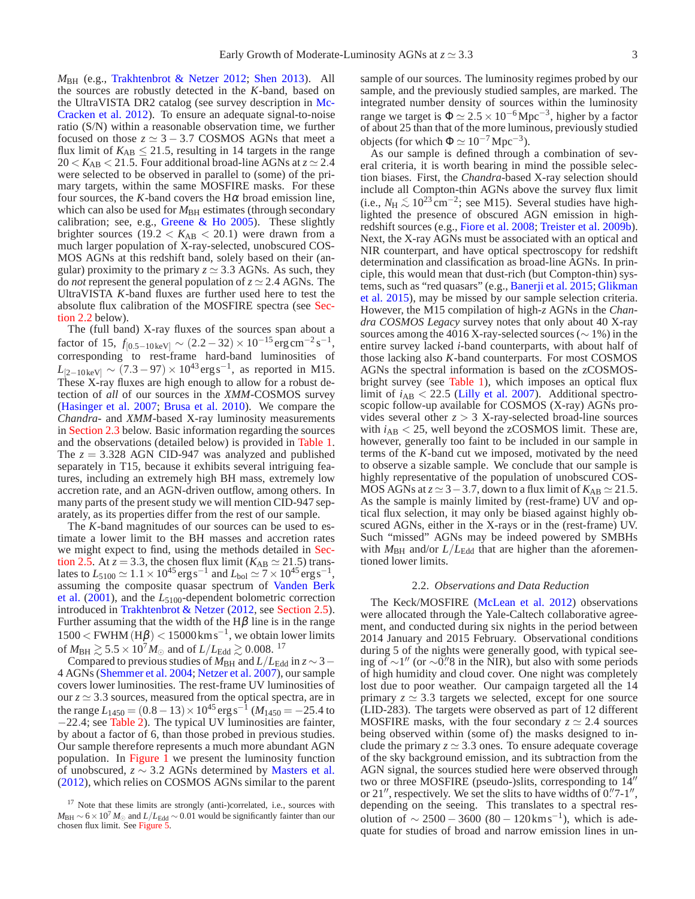*M*BH (e.g., [Trakhtenbrot & Netzer 2012](#page-15-18); [Shen 2013](#page-15-55)). All the sources are robustly detected in the *K*-band, based on the UltraVIS[TA DR2 catalog \(see survey description in](#page-15-56) Mc-Cracken et al. [2012\)](#page-15-56). To ensure an adequate signal-to-noise ratio (S/N) within a reasonable observation time, we further focused on those  $z \approx 3 - 3.7$  COSMOS AGNs that meet a flux limit of  $K_{AB} \leq 21.5$ , resulting in 14 targets in the range  $20 < K_{AB} < 21.5$ . Four additional broad-line AGNs at  $z \approx 2.4$ were selected to be observed in parallel to (some) of the primary targets, within the same MOSFIRE masks. For these four sources, the *K*-band covers the  $H\alpha$  broad emission line, which can also be used for  $M_{BH}$  estimates (through secondary calibration; see, e.g., [Greene & Ho 2005](#page-15-57)). These slightly brighter sources  $(19.2 < K_{AB} < 20.1)$  were drawn from a much larger population of X-ray-selected, unobscured COS-MOS AGNs at this redshift band, solely based on their (angular) proximity to the primary  $z \approx 3.3$  AGNs. As such, they do *not* represent the general population of  $z \approx 2.4$  AGNs. The UltraVISTA *K*-band fluxes are further used here to test the absolut[e flux calibration of the MOSFIRE spectra \(see](#page-2-0) Section 2.2 below).

The (full band) X-ray fluxes of the sources span about a factor of 15,  $f_{[0.5-10 \text{ keV}]} \sim (2.2-32) \times 10^{-15} \text{erg cm}^{-2} \text{ s}^{-1}$ , corresponding to rest-frame hard-band luminosities of  $L_{[2-10 \text{keV}]} \sim (7.3-97) \times 10^{43} \text{erg s}^{-1}$ , as reported in M15. These X-ray fluxes are high enough to allow for a robust detection of *all* of our sources in the *XMM*-COSMOS survey [\(Hasinger et al. 2007](#page-15-52); [Brusa et al. 2010\)](#page-15-58). We compare the *Chandra*- and *XMM*-based X-ray luminosity measurements in [Section 2.3](#page-4-0) below. Basic information regarding the sources and the observations (detailed below) is provided in [Table 1.](#page-3-0) The  $z = 3.328$  AGN CID-947 was analyzed and published separately in T15, because it exhibits several intriguing features, including an extremely high BH mass, extremely low accretion rate, and an AGN-driven outflow, among others. In many parts of the present study we will mention CID-947 separately, as its properties differ from the rest of our sample.

The *K*-band magnitudes of our sources can be used to estimate a lower limit to the BH masses and accretion rates we mig[ht expect to find, using the methods detailed in](#page-6-0) Section 2.5. At  $z = 3.3$ , the chosen flux limit ( $K_{AB} \simeq 21.5$ ) translates to  $L_{5100} \simeq 1.1 \times 10^{45} \text{ erg s}^{-1}$  and  $L_{bol} \simeq 7 \times 10^{45} \text{ erg s}^{-1}$ , assu[ming the composite quasar spectrum of](#page-15-59) Vanden Berk et al. [\(2001\)](#page-15-59), and the *L*5100-dependent bolometric correction introduced in [Trakhtenbrot & Netzer](#page-15-18) [\(2012,](#page-15-18) see [Section 2.5\)](#page-6-0). Further assuming that the width of the H $\beta$  line is in the range  $1500 < \text{FWHM}(\text{H}\beta) < 15000 \text{km s}^{-1}$ , we obtain lower limits of  $M_{\text{BH}} \gtrsim 5.5 \times 10^7 M_{\odot}$  and of  $L/L_{\text{Edd}} \gtrsim 0.008$ . <sup>17</sup>

Compared to previous studies of  $M_{BH}$  and  $L/L_{Edd}$  in  $z \sim 3 -$ 4 AGNs [\(Shemmer et al. 2004;](#page-15-20) [Netzer et al. 2007\)](#page-15-22), our sample covers lower luminosities. The rest-frame UV luminosities of our  $z \approx 3.3$  sources, measured from the optical spectra, are in the range  $L_{1450} = (0.8 - 13) \times 10^{45} \text{ erg s}^{-1}$  ( $M_{1450} = -25.4$  to −22.4; see [Table 2\)](#page-7-0). The typical UV luminosities are fainter, by about a factor of 6, than those probed in previous studies. Our sample therefore represents a much more abundant AGN population. In [Figure 1](#page-3-1) we present the luminosity function of unobscured, *z* ∼ 3.2 AGNs determined by [Masters et al.](#page-15-39) [\(2012](#page-15-39)), which relies on COSMOS AGNs similar to the parent sample of our sources. The luminosity regimes probed by our sample, and the previously studied samples, are marked. The integrated number density of sources within the luminosity range we target is  $\Phi \simeq 2.5 \times 10^{-6}$  Mpc<sup>-3</sup>, higher by a factor of about 25 than that of the more luminous, previously studied objects (for which  $\Phi \simeq 10^{-7}$  Mpc<sup>-3</sup>).

As our sample is defined through a combination of several criteria, it is worth bearing in mind the possible selection biases. First, the *Chandra*-based X-ray selection should include all Compton-thin AGNs above the survey flux limit (i.e.,  $N_H \lesssim 10^{23}$  cm<sup>−2</sup>; see M15). Several studies have highlighted the presence of obscured AGN emission in highredshift sources (e.g., [Fiore et al. 2008](#page-15-60); [Treister et al. 2009b](#page-15-61)). Next, the X-ray AGNs must be associated with an optical and NIR counterpart, and have optical spectroscopy for redshift determination and classification as broad-line AGNs. In principle, this would mean that dust-rich (but Compton-thin) systems[, such as "red quasars" \(e.g.,](#page-15-63) [Banerji et al. 2015](#page-15-62); Glikman et al. [2015\)](#page-15-63), may be missed by our sample selection criteria. However, the M15 compilation of high-*z* AGNs in the *Chandra COSMOS Legacy* survey notes that only about 40 X-ray sources among the 4016 X-ray-selected sources ( $\sim$  1%) in the entire survey lacked *i*-band counterparts, with about half of those lacking also *K*-band counterparts. For most COSMOS AGNs the spectral information is based on the zCOSMOSbright survey (see [Table 1\)](#page-3-0), which imposes an optical flux limit of  $i_{AB}$  < 22.5 [\(Lilly et al. 2007](#page-15-53)). Additional spectroscopic follow-up available for COSMOS (X-ray) AGNs provides several other  $z > 3$  X-ray-selected broad-line sources with  $i_{AB}$  < 25, well beyond the zCOSMOS limit. These are, however, generally too faint to be included in our sample in terms of the *K*-band cut we imposed, motivated by the need to observe a sizable sample. We conclude that our sample is highly representative of the population of unobscured COS-MOS AGNs at  $z \approx 3-3.7$ , down to a flux limit of  $K_{AB} \approx 21.5$ . As the sample is mainly limited by (rest-frame) UV and optical flux selection, it may only be biased against highly obscured AGNs, either in the X-rays or in the (rest-frame) UV. Such "missed" AGNs may be indeed powered by SMBHs with  $M_{\text{BH}}$  and/or  $L/L_{\text{Edd}}$  that are higher than the aforementioned lower limits.

### 2.2. *Observations and Data Reduction*

<span id="page-2-0"></span>The Keck/MOSFIRE [\(McLean et al. 2012](#page-15-64)) observations were allocated through the Yale-Caltech collaborative agreement, and conducted during six nights in the period between 2014 January and 2015 February. Observational conditions during 5 of the nights were generally good, with typical seeing of  $\sim$ 1" (or  $\sim$ 0.″8 in the NIR), but also with some periods of high humidity and cloud cover. One night was completely lost due to poor weather. Our campaign targeted all the 14 primary  $z \approx 3.3$  targets we selected, except for one source (LID-283). The targets were observed as part of 12 different MOSFIRE masks, with the four secondary  $z \approx 2.4$  sources being observed within (some of) the masks designed to include the primary  $z \approx 3.3$  ones. To ensure adequate coverage of the sky background emission, and its subtraction from the AGN signal, the sources studied here were observed through two or three MOSFIRE (pseudo-)slits, corresponding to 14′′ or 21", respectively. We set the slits to have widths of  $0''7-1''$ , depending on the seeing. This translates to a spectral resolution of  $\sim$  2500 − 3600 (80 − 120 km s<sup>-1</sup>), which is adequate for studies of broad and narrow emission lines in un-

<sup>&</sup>lt;sup>17</sup> Note that these limits are strongly (anti-)correlated, i.e., sources with  $M_{\text{BH}} \sim 6 \times 10^7 M_{\odot}$  and  $L/L_{\text{Edd}} \sim 0.01$  would be significantly fainter than our chosen flux limit. See [Figure 5.](#page-11-0)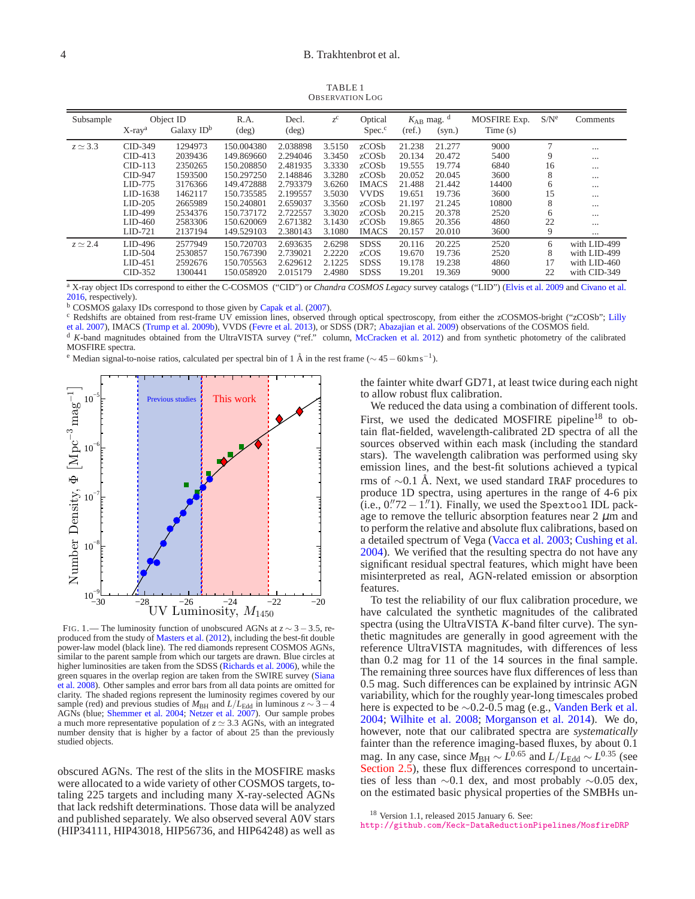TABLE 1 OBSERVATION LOG

<span id="page-3-0"></span>

| Subsample                          | $X$ -ray <sup>a</sup>                                                                                                                                       | Object ID<br>Galaxy ID <sup>b</sup>                                                                                              | R.A.<br>$(\text{deg})$                                                                                                                                               | Decl.<br>$(\text{deg})$                                                                                                                      | $z^{\rm c}$                                                                                                          | Optical<br>Spec. <sup>c</sup>                                                                                                     | (ref.)                                                                                                               | $K_{AB}$ mag. $d$<br>(syn.)                                                                                          | MOSFIRE Exp.<br>Time $(s)$                                                                     | $S/N^e$                                                     | Comments                                                                     |
|------------------------------------|-------------------------------------------------------------------------------------------------------------------------------------------------------------|----------------------------------------------------------------------------------------------------------------------------------|----------------------------------------------------------------------------------------------------------------------------------------------------------------------|----------------------------------------------------------------------------------------------------------------------------------------------|----------------------------------------------------------------------------------------------------------------------|-----------------------------------------------------------------------------------------------------------------------------------|----------------------------------------------------------------------------------------------------------------------|----------------------------------------------------------------------------------------------------------------------|------------------------------------------------------------------------------------------------|-------------------------------------------------------------|------------------------------------------------------------------------------|
| $z \approx 3.3$<br>$z \approx 2.4$ | CID-349<br>$CID-413$<br>$CID-113$<br>CID-947<br><b>LID-775</b><br>LID-1638<br>$LID-205$<br><b>LID-499</b><br>$LID-460$<br>$LID-721$<br>LID-496<br>$LID-504$ | 1294973<br>2039436<br>2350265<br>1593500<br>3176366<br>1462117<br>2665989<br>2534376<br>2583306<br>2137194<br>2577949<br>2530857 | 150.004380<br>149.869660<br>150.208850<br>150.297250<br>149.472888<br>150.735585<br>150.240801<br>150.737172<br>150.620069<br>149.529103<br>150.720703<br>150.767390 | 2.038898<br>2.294046<br>2.481935<br>2.148846<br>2.793379<br>2.199557<br>2.659037<br>2.722557<br>2.671382<br>2.380143<br>2.693635<br>2.739021 | 3.5150<br>3.3450<br>3.3330<br>3.3280<br>3.6260<br>3.5030<br>3.3560<br>3.3020<br>3.1430<br>3.1080<br>2.6298<br>2.2220 | zCOSb<br>zCOSb<br>zCOSb<br>zCOSb<br><b>IMACS</b><br><b>VVDS</b><br>zCOSb<br>zCOSb<br>zCOSb<br><b>IMACS</b><br><b>SDSS</b><br>zCOS | 21.238<br>20.134<br>19.555<br>20.052<br>21.488<br>19.651<br>21.197<br>20.215<br>19.865<br>20.157<br>20.116<br>19.670 | 21.277<br>20.472<br>19.774<br>20.045<br>21.442<br>19.736<br>21.245<br>20.378<br>20.356<br>20.010<br>20.225<br>19.736 | 9000<br>5400<br>6840<br>3600<br>14400<br>3600<br>10800<br>2520<br>4860<br>3600<br>2520<br>2520 | 7<br>9<br>16<br>8<br>6<br>15<br>8<br>6<br>22<br>9<br>6<br>8 | <br><br><br><br><br><br><br><br><br>$\cdots$<br>with LID-499<br>with LID-499 |
|                                    | $LID-451$<br>$CID-352$                                                                                                                                      | 2592676<br>1300441                                                                                                               | 150.705563<br>150.058920                                                                                                                                             | 2.629612<br>2.015179                                                                                                                         | 2.1225<br>2.4980                                                                                                     | <b>SDSS</b><br><b>SDSS</b>                                                                                                        | 19.178<br>19.201                                                                                                     | 19.238<br>19.369                                                                                                     | 4860<br>9000                                                                                   | 17<br>22                                                    | with $LID-460$<br>with CID-349                                               |

<sup>a</sup> X-ray object IDs correspond to either the C-COSMOS ("CID") or *Chandra COSMOS Legacy* survey catalogs ("LID") [\(Elvis et al. 2009](#page-15-48) and [Civano et al.](#page-15-40) [2016,](#page-15-40) respectively).

<sup>b</sup> COSMOS galaxy IDs correspond to those given by [Capak et al.](#page-15-65) [\(2007\)](#page-15-65).

<sup>c</sup> Re[dshifts are obtained from rest-frame UV emission lines, observed through optical spectroscopy, from either the zCOSMOS-bright \("zCOSb";](#page-15-53) Lilly et al. [2007](#page-15-53)), IMACS [\(Trump et al. 2009b](#page-15-43)), VVDS [\(Fevre et al. 2013\)](#page-15-66), or SDSS (DR7; [Abazajian et al. 2009](#page-14-2)) observations of the COSMOS field.

<sup>d</sup> K-band magnitudes obtained from the UltraVISTA survey ("ref." column, [McCracken et al. 2012](#page-15-56)) and from synthetic photometry of the calibrated MOSFIRE spectra.

<sup>e</sup> Median signal-to-noise ratios, calculated per spectral bin of 1 Å in the rest frame ( $\sim$  45 – 60 km s<sup>-1</sup>).

<span id="page-3-1"></span>

FIG. 1.— The luminosity function of unobscured AGNs at *z* ∼ 3− 3.5, reproduced from the study of [Masters et al.](#page-15-39) [\(2012\)](#page-15-39), including the best-fit double power-law model (black line). The red diamonds represent COSMOS AGNs, similar to the parent sample from which our targets are drawn. Blue circles at higher luminosities are taken from the SDSS [\(Richards et al. 2006](#page-15-67)), while the gree[n squares in the overlap region are taken from the SWIRE survey \(](#page-15-68)Siana et al. [2008\)](#page-15-68). Other samples and error bars from all data points are omitted for clarity. The shaded regions represent the luminosity regimes covered by our sample (red) and previous studies of  $M_{\text{BH}}$  and  $L/L_{\text{Edd}}$  in luminous  $z \sim 3-4$ AGNs (blue; [Shemmer et al. 2004;](#page-15-20) [Netzer et al. 2007](#page-15-22)). Our sample probes a much more representative population of *z* ≃ 3.3 AGNs, with an integrated number density that is higher by a factor of about 25 than the previously studied objects.

obscured AGNs. The rest of the slits in the MOSFIRE masks were allocated to a wide variety of other COSMOS targets, totaling 225 targets and including many X-ray-selected AGNs that lack redshift determinations. Those data will be analyzed and published separately. We also observed several A0V stars (HIP34111, HIP43018, HIP56736, and HIP64248) as well as

the fainter white dwarf GD71, at least twice during each night to allow robust flux calibration.

We reduced the data using a combination of different tools. First, we used the dedicated MOSFIRE pipeline<sup>18</sup> to obtain flat-fielded, wavelength-calibrated 2D spectra of all the sources observed within each mask (including the standard stars). The wavelength calibration was performed using sky emission lines, and the best-fit solutions achieved a typical rms of  $\sim$ 0.1 Å. Next, we used standard IRAF procedures to produce 1D spectra, using apertures in the range of 4-6 pix  $(i.e., 0."72 - 1."1)$ . Finally, we used the Spextool IDL package to remove the telluric absorption features near  $2 \mu m$  and to perform the relative and absolute flux calibrations, based on a detailed spectrum of Vega [\(Vacca et al. 2003;](#page-15-69) [Cushing et al.](#page-15-70) [2004\)](#page-15-70). We verified that the resulting spectra do not have any significant residual spectral features, which might have been misinterpreted as real, AGN-related emission or absorption features.

To test the reliability of our flux calibration procedure, we have calculated the synthetic magnitudes of the calibrated spectra (using the UltraVISTA *K*-band filter curve). The synthetic magnitudes are generally in good agreement with the reference UltraVISTA magnitudes, with differences of less than 0.2 mag for 11 of the 14 sources in the final sample. The remaining three sources have flux differences of less than 0.5 mag. Such differences can be explained by intrinsic AGN variability, which for the roughly year-long timescales probed here is expected to be  $\sim$ 0.2-0.5 mag (e.g., [Vanden Berk et al.](#page-15-71) [2004;](#page-15-71) [Wilhite et al. 2008](#page-15-72); [Morganson et al. 2014\)](#page-15-73). We do, however, note that our calibrated spectra are *systematically* fainter than the reference imaging-based fluxes, by about 0.1 mag. In any case, since  $M_{\rm BH}$  ∼  $L^{0.65}$  and  $L/L_{\rm Edd}$  ∼  $L^{0.35}$  (see [Section 2.5\)](#page-6-0), these flux differences correspond to uncertainties of less than ∼0.1 dex, and most probably ∼0.05 dex, on the estimated basic physical properties of the SMBHs un-

<sup>18</sup> Version 1.1, released 2015 January 6. See:

<http://github.com/Keck-DataReductionPipelines/MosfireDRP>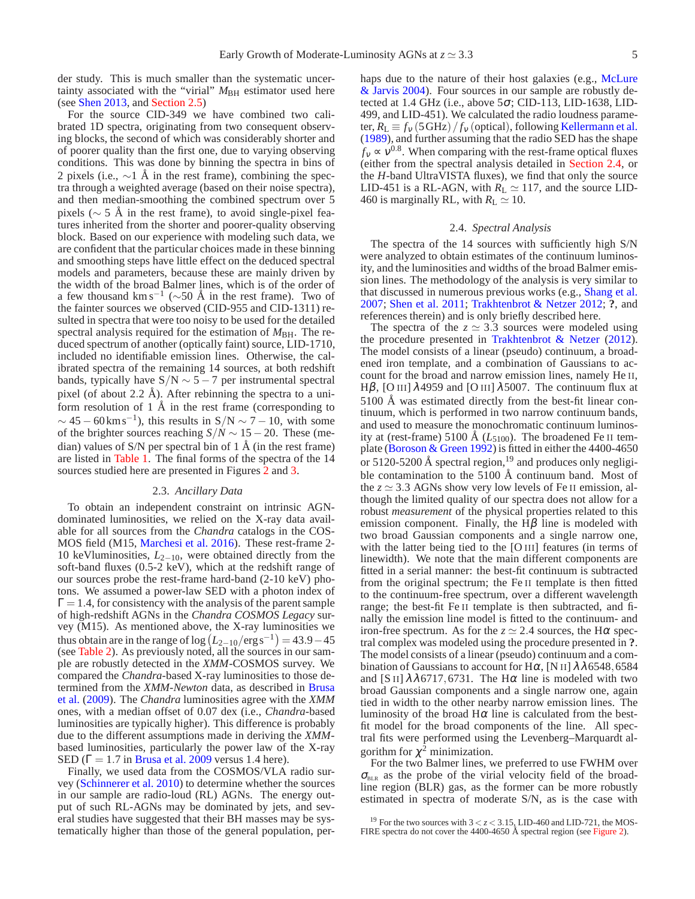der study. This is much smaller than the systematic uncertainty associated with the "virial"  $M_{BH}$  estimator used here (see [Shen 2013,](#page-15-55) and [Section 2.5\)](#page-6-0)

For the source CID-349 we have combined two calibrated 1D spectra, originating from two consequent observing blocks, the second of which was considerably shorter and of poorer quality than the first one, due to varying observing conditions. This was done by binning the spectra in bins of 2 pixels (i.e.,  $\sim$ 1 Å in the rest frame), combining the spectra through a weighted average (based on their noise spectra), and then median-smoothing the combined spectrum over 5 pixels ( $\sim$  5 Å in the rest frame), to avoid single-pixel features inherited from the shorter and poorer-quality observing block. Based on our experience with modeling such data, we are confident that the particular choices made in these binning and smoothing steps have little effect on the deduced spectral models and parameters, because these are mainly driven by the width of the broad Balmer lines, which is of the order of a few thousand km s<sup>-1</sup> ( $\sim$ 50 Å in the rest frame). Two of the fainter sources we observed (CID-955 and CID-1311) resulted in spectra that were too noisy to be used for the detailed spectral analysis required for the estimation of  $M_{\rm BH}$ . The reduced spectrum of another (optically faint) source, LID-1710, included no identifiable emission lines. Otherwise, the calibrated spectra of the remaining 14 sources, at both redshift bands, typically have  $S/N \sim 5 - 7$  per instrumental spectral pixel (of about 2.2 Å). After rebinning the spectra to a uniform resolution of  $1 \text{ Å}$  in the rest frame (corresponding to  $\sim$  45 – 60 km s<sup>-1</sup>), this results in S/N  $\sim$  7 – 10, with some of the brighter sources reaching  $S/N \sim 15 - 20$ . These (median) values of S/N per spectral bin of 1 Å (in the rest frame) are listed in [Table 1.](#page-3-0) The final forms of the spectra of the 14 sources studied here are presented in Figures [2](#page-5-0) and [3.](#page-6-1)

### 2.3. *Ancillary Data*

<span id="page-4-0"></span>To obtain an independent constraint on intrinsic AGNdominated luminosities, we relied on the X-ray data available for all sources from the *Chandra* catalogs in the COS-MOS field (M15, [Marchesi et al. 2016](#page-15-51)). These rest-frame 2- 10 keVluminosities, *L*2−10, were obtained directly from the soft-band fluxes (0.5-2 keV), which at the redshift range of our sources probe the rest-frame hard-band (2-10 keV) photons. We assumed a power-law SED with a photon index of  $\Gamma$  = 1.4, for consistency with the analysis of the parent sample of high-redshift AGNs in the *Chandra COSMOS Legacy* survey (M15). As mentioned above, the X-ray luminosities we thus obtain are in the range of  $\log (L_{2-10}/\text{erg s}^{-1}) = 43.9 - 45$ (see [Table 2\)](#page-7-0). As previously noted, all the sources in our sample are robustly detected in the *XMM*-COSMOS survey. We compared the *Chandra*-based X-ray luminosities to those determined from the *XMM-Newton* [data, as described in](#page-15-6) Brusa et al. [\(2009](#page-15-6)). The *Chandra* luminosities agree with the *XMM* ones, with a median offset of 0.07 dex (i.e., *Chandra*-based luminosities are typically higher). This difference is probably due to the different assumptions made in deriving the *XMM*based luminosities, particularly the power law of the X-ray SED ( $\Gamma = 1.7$  in [Brusa et al. 2009](#page-15-6) versus 1.4 here).

Finally, we used data from the COSMOS/VLA radio survey [\(Schinnerer et al. 2010](#page-15-74)) to determine whether the sources in our sample are radio-loud (RL) AGNs. The energy output of such RL-AGNs may be dominated by jets, and several studies have suggested that their BH masses may be systematically higher than those of the general population, perhaps du[e to the nature of their host galaxies \(e.g.,](#page-15-75) McLure & Jarvis [2004\)](#page-15-75). Four sources in our sample are robustly detected at 1.4 GHz (i.e., above  $5\sigma$ ; CID-113, LID-1638, LID-499, and LID-451). We calculated the radio loudness parameter,  $R_L \equiv f_V (5 \text{ GHz})/f_V (\text{optical})$ , following [Kellermann et al.](#page-15-76) [\(1989](#page-15-76)), and further assuming that the radio SED has the shape  $f_v \propto v^{0.8}$ . When comparing with the rest-frame optical fluxes (either from the spectral analysis detailed in [Section 2.4,](#page-4-1) or the *H*-band UltraVISTA fluxes), we find that only the source LID-451 is a RL-AGN, with  $R_L \simeq 117$ , and the source LID-460 is marginally RL, with  $R_L \simeq 10$ .

### 2.4. *Spectral Analysis*

<span id="page-4-1"></span>The spectra of the 14 sources with sufficiently high S/N were analyzed to obtain estimates of the continuum luminosity, and the luminosities and widths of the broad Balmer emission lines. The methodology of the analysis is very similar to that discussed in numerous previous works (e.g., [Shang et al.](#page-15-77) [2007;](#page-15-77) [Shen et al. 2011;](#page-15-78) [Trakhtenbrot & Netzer 2012](#page-15-18); **?**, and references therein) and is only briefly described here.

The spectra of the  $z \approx 3.3$  sources were modeled using the procedure presented in [Trakhtenbrot & Netzer](#page-15-18) [\(2012](#page-15-18)). The model consists of a linear (pseudo) continuum, a broadened iron template, and a combination of Gaussians to account for the broad and narrow emission lines, namely He II, Hβ, [O III]  $\lambda$ 4959 and [O III]  $\lambda$ 5007. The continuum flux at 5100 Å was estimated directly from the best-fit linear continuum, which is performed in two narrow continuum bands, and used to measure the monochromatic continuum luminosity at (rest-frame) 5100 Å  $(L_{5100})$ . The broadened Fe II template (Boroson  $\&$  Green 1992) is fitted in either the 4400-4650 or 5120-5200 Å spectral region,  $19$  and produces only negligible contamination to the  $5100 \text{ Å}$  continuum band. Most of the  $z \approx 3.3$  AGNs show very low levels of Fe II emission, although the limited quality of our spectra does not allow for a robust *measurement* of the physical properties related to this emission component. Finally, the  $H\beta$  line is modeled with two broad Gaussian components and a single narrow one, with the latter being tied to the [O III] features (in terms of linewidth). We note that the main different components are fitted in a serial manner: the best-fit continuum is subtracted from the original spectrum; the Fe II template is then fitted to the continuum-free spectrum, over a different wavelength range; the best-fit Fe II template is then subtracted, and finally the emission line model is fitted to the continuum- and iron-free spectrum. As for the  $z \approx 2.4$  sources, the H $\alpha$  spectral complex was modeled using the procedure presented in **?**. The model consists of a linear (pseudo) continuum and a combination of Gaussians to account for H $\alpha$ , [N II]  $\lambda \lambda$ 6548, 6584 and [S II]  $\lambda \lambda$ 6717,6731. The H $\alpha$  line is modeled with two broad Gaussian components and a single narrow one, again tied in width to the other nearby narrow emission lines. The luminosity of the broad  $H\alpha$  line is calculated from the bestfit model for the broad components of the line. All spectral fits were performed using the Levenberg–Marquardt algorithm for  $\chi^2$  minimization.

For the two Balmer lines, we preferred to use FWHM over  $\sigma_{\text{BLR}}$  as the probe of the virial velocity field of the broadline region (BLR) gas, as the former can be more robustly estimated in spectra of moderate S/N, as is the case with

<sup>19</sup> For the two sources with  $3 < z < 3.15$ , LID-460 and LID-721, the MOS-FIRE spectra do not cover the 4400-4650 Å spectral region (see [Figure 2\)](#page-5-0).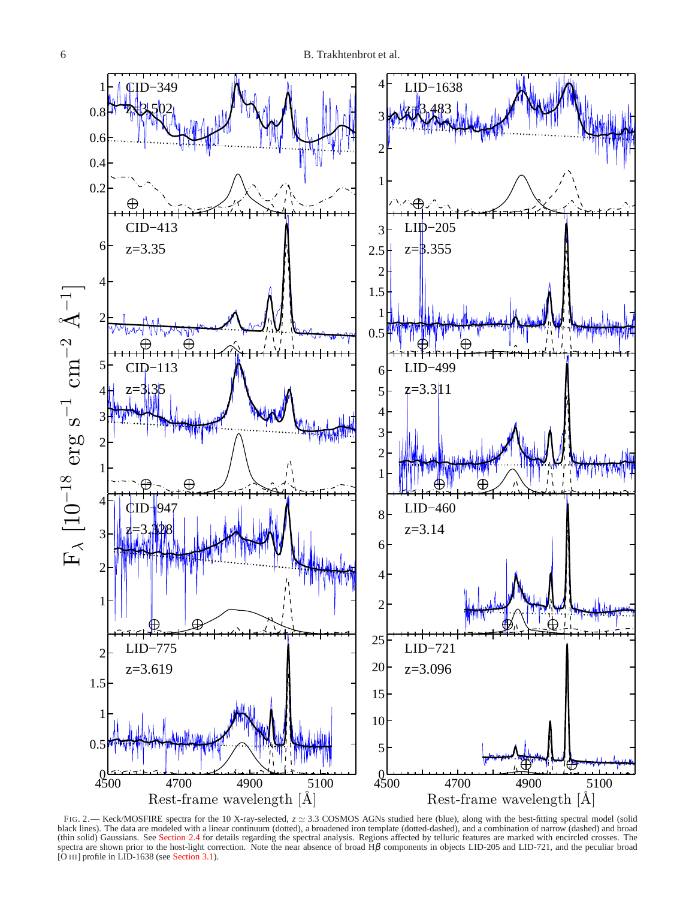<span id="page-5-0"></span>

FIG. 2.— Keck/MOSFIRE spectra for the 10 X-ray-selected, *z* ≃ 3.3 COSMOS AGNs studied here (blue), along with the best-fitting spectral model (solid black lines). The data are modeled with a linear continuum (dotted), a broadened iron template (dotted-dashed), and a combination of narrow (dashed) and broad (thin solid) Gaussians. See [Section 2.4](#page-4-1) for details regarding the spectral analysis. Regions affected by telluric features are marked with encircled crosses. The spectra are shown prior to the host-light correction. Note the near absence of broad  $H\beta$  components in objects LID-205 and LID-721, and the peculiar broad [O III] profile in LID-1638 (see [Section 3.1\)](#page-8-1).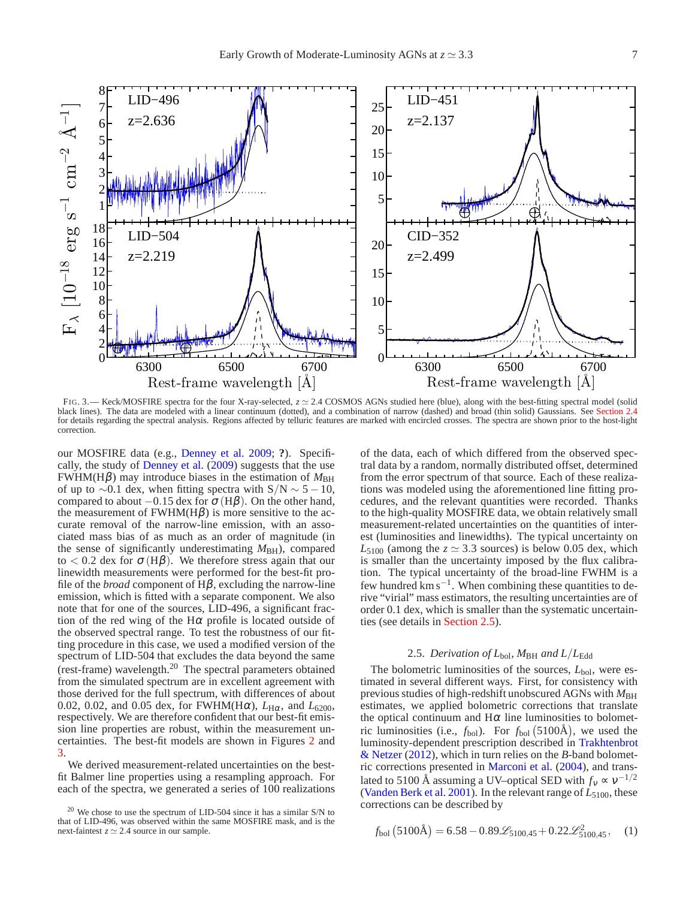<span id="page-6-1"></span>

FIG. 3.— Keck/MOSFIRE spectra for the four X-ray-selected, *z* ≃ 2.4 COSMOS AGNs studied here (blue), along with the best-fitting spectral model (solid black lines). The data are modeled with a linear continuum (dotted), and a combination of narrow (dashed) and broad (thin solid) Gaussians. See [Section 2.4](#page-4-1) for details regarding the spectral analysis. Regions affected by telluric features are marked with encircled crosses. The spectra are shown prior to the host-light correction.

our MOSFIRE data (e.g., [Denney et al. 2009](#page-15-80); **?**). Specifically, the study of [Denney et al.](#page-15-80) [\(2009](#page-15-80)) suggests that the use FWHM(H $\beta$ ) may introduce biases in the estimation of  $M_{\text{BH}}$ of up to ∼0.1 dex, when fitting spectra with  $S/N \sim 5 - 10$ , compared to about  $-0.15$  dex for  $\sigma(H\beta)$ . On the other hand, the measurement of FWHM( $H\beta$ ) is more sensitive to the accurate removal of the narrow-line emission, with an associated mass bias of as much as an order of magnitude (in the sense of significantly underestimating  $M_{\text{BH}}$ ), compared to  $< 0.2$  dex for  $\sigma(H\beta)$ . We therefore stress again that our linewidth measurements were performed for the best-fit profile of the *broad* component of  $H\beta$ , excluding the narrow-line emission, which is fitted with a separate component. We also note that for one of the sources, LID-496, a significant fraction of the red wing of the  $H\alpha$  profile is located outside of the observed spectral range. To test the robustness of our fitting procedure in this case, we used a modified version of the spectrum of LID-504 that excludes the data beyond the same (rest-frame) wavelength.<sup>20</sup> The spectral parameters obtained from the simulated spectrum are in excellent agreement with those derived for the full spectrum, with differences of about 0.02, 0.02, and 0.05 dex, for FWHM(H $\alpha$ ),  $L_{H\alpha}$ , and  $L_{6200}$ , respectively. We are therefore confident that our best-fit emission line properties are robust, within the measurement uncertainties. The best-fit models are shown in Figures [2](#page-5-0) and [3.](#page-6-1)

We derived measurement-related uncertainties on the bestfit Balmer line properties using a resampling approach. For each of the spectra, we generated a series of 100 realizations

of the data, each of which differed from the observed spectral data by a random, normally distributed offset, determined from the error spectrum of that source. Each of these realizations was modeled using the aforementioned line fitting procedures, and the relevant quantities were recorded. Thanks to the high-quality MOSFIRE data, we obtain relatively small measurement-related uncertainties on the quantities of interest (luminosities and linewidths). The typical uncertainty on  $L_{5100}$  (among the  $z \approx 3.3$  sources) is below 0.05 dex, which is smaller than the uncertainty imposed by the flux calibration. The typical uncertainty of the broad-line FWHM is a few hundred  $\mathrm{km}\,\mathrm{s}^{-1}$ . When combining these quantities to derive "virial" mass estimators, the resulting uncertainties are of order 0.1 dex, which is smaller than the systematic uncertainties (see details in [Section 2.5\)](#page-6-0).

## 2.5. *Derivation of L*<sub>bol</sub>,  $M_{BH}$  *and L*/*L*<sub>Edd</sub>

<span id="page-6-0"></span>The bolometric luminosities of the sources, *L*<sub>bol</sub>, were estimated in several different ways. First, for consistency with previous studies of high-redshift unobscured AGNs with  $M_{\text{BH}}$ estimates, we applied bolometric corrections that translate the optical continuum and  $H\alpha$  line luminosities to bolometric luminosities (i.e.,  $f_{bol}$ ). For  $f_{bol}$  (5100Å), we used the luminosi[ty-dependent prescription described in](#page-15-18) Trakhtenbrot & Netzer [\(2012](#page-15-18)), which in turn relies on the *B*-band bolometric corrections presented in [Marconi et al.](#page-15-1) [\(2004](#page-15-1)), and translated to 5100 Å assuming a UV–optical SED with  $f_v \propto v^{-1/2}$ [\(Vanden Berk et al. 2001](#page-15-59)). In the relevant range of  $L_{5100}$ , these corrections can be described by

<span id="page-6-2"></span>
$$
f_{bol} (5100\text{\AA}) = 6.58 - 0.89 \mathcal{L}_{5100,45} + 0.22 \mathcal{L}_{5100,45}^2, \quad (1)
$$

 $20$  We chose to use the spectrum of LID-504 since it has a similar S/N to that of LID-496, was observed within the same MOSFIRE mask, and is the next-faintest  $z \approx 2.4$  source in our sample.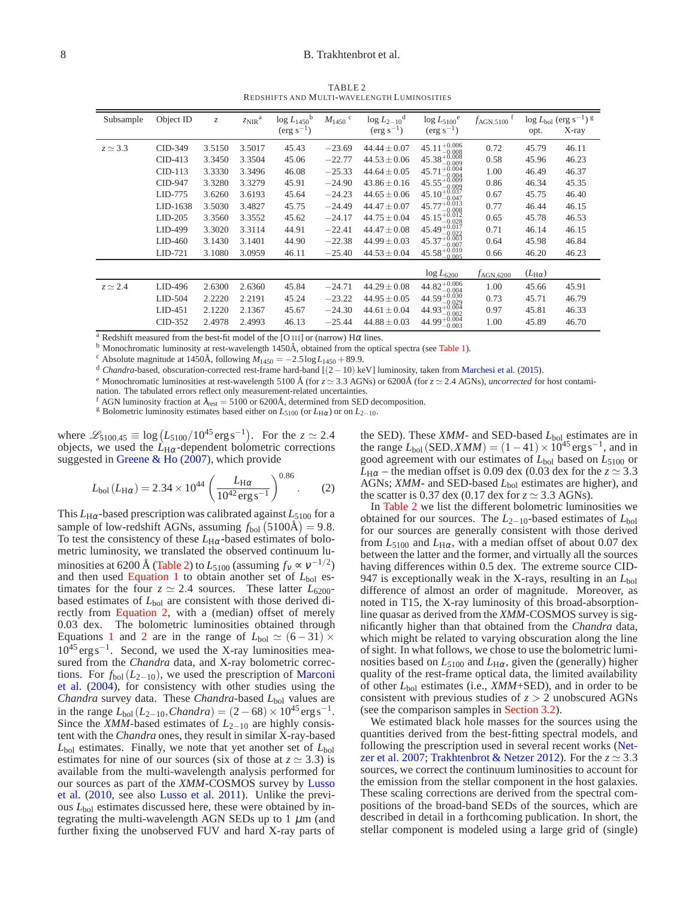<span id="page-7-0"></span>

| Subsample       | Object ID | $\mathcal{Z}$ | $ZNIR^{a}$ | $\log L_{1450}$ <sup>b</sup> | $M_{1450}$ c | $\log L_{2-10}$ <sup>d</sup> | $\log L_{5100}$ <sup>e</sup>                                    | $f_{\rm AGN,5100}$  |                 | $\log$ $L_{\rm bol}$ (erg s $^{-1})$ $^{\rm g}$ |  |
|-----------------|-----------|---------------|------------|------------------------------|--------------|------------------------------|-----------------------------------------------------------------|---------------------|-----------------|-------------------------------------------------|--|
|                 |           |               |            | $(\text{erg } s^{-1})$       |              | $(\text{erg s}^{-1})$        | $(\text{erg s}^{-1})$                                           |                     | opt.            | X-ray                                           |  |
|                 |           |               |            |                              |              |                              |                                                                 |                     |                 |                                                 |  |
| $z \approx 3.3$ | CID-349   | 3.5150        | 3.5017     | 45.43                        | $-23.69$     | $44.44 \pm 0.07$             |                                                                 | 0.72                | 45.79           | 46.11                                           |  |
|                 | $CID-413$ | 3.3450        | 3.3504     | 45.06                        | $-22.77$     | $44.53 \pm 0.06$             | $\substack{45.11_{-0.008}^{+0.006} \\ 45.38_{-0.009}^{+0.008}}$ | 0.58                | 45.96           | 46.23                                           |  |
|                 | $CID-113$ | 3.3330        | 3.3496     | 46.08                        | $-25.33$     | $44.64 \pm 0.05$             | $45.71_{-0.004}^{+0.004}$                                       | 1.00                | 46.49           | 46.37                                           |  |
|                 | CID-947   | 3.3280        | 3.3279     | 45.91                        | $-24.90$     | $43.86 \pm 0.16$             | $45.55_{-0.009}^{+0.009}$<br>45.10 <sup>+0.037</sup>            | 0.86                | 46.34           | 45.35                                           |  |
|                 | LID-775   | 3.6260        | 3.6193     | 45.64                        | $-24.23$     | $44.65 \pm 0.06$             |                                                                 | 0.67                | 45.75           | 46.40                                           |  |
|                 | LID-1638  | 3.5030        | 3.4827     | 45.75                        | $-24.49$     | $44.47 \pm 0.07$             | $45.77^{+0.013}_{-0.008}$                                       | 0.77                | 46.44           | 46.15                                           |  |
|                 | $LID-205$ | 3.3560        | 3.3552     | 45.62                        | $-24.17$     | $44.75 \pm 0.04$             | $45.15_{-0.028}^{+0.012}$<br>45.49 <sup>+0.017</sup>            | 0.65                | 45.78           | 46.53                                           |  |
|                 | LID-499   | 3.3020        | 3.3114     | 44.91                        | $-22.41$     | $44.47 \pm 0.08$             |                                                                 | 0.71                | 46.14           | 46.15                                           |  |
|                 | $LID-460$ | 3.1430        | 3.1401     | 44.90                        | $-22.38$     | $44.99 \pm 0.03$             | $-0.022$<br>+0.003<br>45.37                                     | 0.64                | 45.98           | 46.84                                           |  |
|                 | LID-721   | 3.1080        | 3.0959     | 46.11                        | $-25.40$     | $44.53 \pm 0.04$             | $43.37 - 0.007$<br>45.58 <sup>+0.010</sup><br>$-0.005$          | 0.66                | 46.20           | 46.23                                           |  |
|                 |           |               |            |                              |              |                              |                                                                 |                     |                 |                                                 |  |
|                 |           |               |            |                              |              |                              | $log L_{6200}$                                                  | $f_{\rm AGN, 6200}$ | $(L_{H\alpha})$ |                                                 |  |
| $z \approx 2.4$ | $LID-496$ | 2.6300        | 2.6360     | 45.84                        | $-24.71$     | $44.29 \pm 0.08$             | $44.82^{+0.006}_{-0.004}$                                       | 1.00                | 45.66           | 45.91                                           |  |
|                 | $LID-504$ | 2.2220        | 2.2191     | 45.24                        | $-23.22$     | $44.95 \pm 0.05$             | $44.59^{+0.030}_{-0.022}$                                       | 0.73                | 45.71           | 46.79                                           |  |
|                 | $LID-451$ | 2.1220        | 2.1367     | 45.67                        | $-24.30$     | $44.61 \pm 0.04$             | $^{44.59}_{-0.029}_{-0.004}$<br>44.93 <sup>+0.004</sup>         | 0.97                | 45.81           | 46.33                                           |  |
|                 | $CID-352$ | 2.4978        | 2.4993     | 46.13                        | $-25.44$     | $44.88 \pm 0.03$             | $44.99_{-0.003}^{+0.004}$                                       | 1.00                | 45.89           | 46.70                                           |  |

TABLE 2 REDSHIFTS AND MULTI-WAVELENGTH LUMINOSITIES

<sup>a</sup> Redshift measured from the best-fit model of the [O III] or (narrow)  $H\alpha$  lines.

b Monochromatic luminosity at rest-wavelength 1450Å, obtained from the optical spectra (see [Table 1\)](#page-3-0).

<sup>c</sup> Absolute magnitude at 1450Å, following  $M_{1450} = -2.5 \log L_{1450} + 89.9$ .

<sup>d</sup> *Chandra*-based, obscuration-corrected rest-frame hard-band [(2−10) keV] luminosity, taken from [Marchesi et al.](#page-15-46) [\(2015\)](#page-15-46).

<sup>e</sup> Monochromatic luminosities at rest-wavelength 5100 Å (for *z* ≃ 3.3 AGNs) or 6200Å (for *z* ≃ 2.4 AGNs), *uncorrected* for host contami-

nation. The tabulated errors reflect only measurement-related uncertainties.

AGN luminosity fraction at  $\lambda_{\rm rest} = 5100$  or 6200Å, determined from SED decomposition.

<sup>g</sup> Bolometric luminosity estimates based either on *L*<sub>5100</sub> (or *L*<sub>Hα</sub>) or on *L*<sub>2−10</sub>.

where  $\mathcal{L}_{5100,45} \equiv \log (L_{5100}/10^{45} \text{ erg s}^{-1})$ . For the  $z \simeq 2.4$ objects, we used the *L*Hα-dependent bolometric corrections suggested in [Greene & Ho](#page-15-81) [\(2007](#page-15-81)), which provide

<span id="page-7-1"></span>
$$
L_{\text{bol}}\left(L_{\text{H}\alpha}\right) = 2.34 \times 10^{44} \left(\frac{L_{\text{H}\alpha}}{10^{42} \text{ erg s}^{-1}}\right)^{0.86}.\tag{2}
$$

This  $L_{\text{H}\alpha}$ -based prescription was calibrated against  $L_{5100}$  for a sample of low-redshift AGNs, assuming  $f_{bol}$  (5100Å) = 9.8. To test the consistency of these  $L_{H\alpha}$ -based estimates of bolometric luminosity, we translated the observed continuum lu-minosities at 6200 Å ([Table 2\)](#page-7-0) to  $L_{5100}$  (assuming  $f_v \propto v^{-1/2}$ ) and then used [Equation 1](#page-6-2) to obtain another set of  $L_{bol}$  estimates for the four  $z \approx 2.4$  sources. These latter  $L_{6200}$ based estimates of  $L_{bol}$  are consistent with those derived directly from [Equation 2,](#page-7-1) with a (median) offset of merely 0.03 dex. The bolometric luminosities obtained through Equations [1](#page-6-2) and [2](#page-7-1) are in the range of  $L_{bol} \simeq (6-31) \times$ 10<sup>45</sup> ergs−<sup>1</sup> . Second, we used the X-ray luminosities measured from the *Chandra* data, and X-ray bolometric corrections. For  $f_{bol}(L_{2-10})$ [, we used the prescription of](#page-15-1) Marconi et al. [\(2004](#page-15-1)), for consistency with other studies using the *Chandra* survey data. These *Chandra*-based  $L_{bol}$  values are in the range  $L_{bol}(L_{2-10}, \text{Chandra}) = (2-68) \times 10^{45} \text{erg s}^{-1}$ . Since the *XMM*-based estimates of *L*<sub>2−10</sub> are highly consistent with the *Chandra* ones, they result in similar X-ray-based *L*bol estimates. Finally, we note that yet another set of *L*bol estimates for nine of our sources (six of those at  $z \approx 3.3$ ) is available from the multi-wavelength analysis performed for our sources as part of the *XMM*[-COSMOS survey by](#page-15-82) Lusso et al. [\(2010,](#page-15-82) see also [Lusso et al. 2011\)](#page-15-83). Unlike the previous *L*bol estimates discussed here, these were obtained by integrating the multi-wavelength AGN SEDs up to 1  $\mu$ m (and further fixing the unobserved FUV and hard X-ray parts of

the SED). These *XMM*- and SED-based  $L_{bol}$  estimates are in the range  $L_{bol}$  (SED,*XMM*) = (1 – 41) × 10<sup>45</sup> erg s<sup>-1</sup>, and in good agreement with our estimates of *L*bol based on *L*<sup>5100</sup> or  $L_{\text{H}\alpha}$  – the median offset is 0.09 dex (0.03 dex for the  $z \approx 3.3$ ) AGNs; *XMM*- and SED-based  $L_{bol}$  estimates are higher), and the scatter is 0.37 dex (0.17 dex for  $z \approx 3.3$  AGNs).

In [Table 2](#page-7-0) we list the different bolometric luminosities we obtained for our sources. The *L*2−10-based estimates of *L*bol for our sources are generally consistent with those derived from  $L_{5100}$  and  $L_{H\alpha}$ , with a median offset of about 0.07 dex between the latter and the former, and virtually all the sources having differences within 0.5 dex. The extreme source CID-947 is exceptionally weak in the X-rays, resulting in an  $L_{bol}$ difference of almost an order of magnitude. Moreover, as noted in T15, the X-ray luminosity of this broad-absorptionline quasar as derived from the *XMM*-COSMOS survey is significantly higher than that obtained from the *Chandra* data, which might be related to varying obscuration along the line of sight. In what follows, we chose to use the bolometric luminosities based on  $L_{5100}$  and  $L_{H\alpha}$ , given the (generally) higher quality of the rest-frame optical data, the limited availability of other *L*bol estimates (i.e., *XMM*+SED), and in order to be consistent with previous studies of  $z > 2$  unobscured AGNs (see the comparison samples in [Section 3.2\)](#page-9-0).

We estimated black hole masses for the sources using the quantities derived from the best-fitting spectral models, and followin[g the prescription used in several recent works \(](#page-15-22)Net-zer et al. [2007](#page-15-22); [Trakhtenbrot & Netzer 2012](#page-15-18)). For the  $z \approx 3.3$ sources, we correct the continuum luminosities to account for the emission from the stellar component in the host galaxies. These scaling corrections are derived from the spectral compositions of the broad-band SEDs of the sources, which are described in detail in a forthcoming publication. In short, the stellar component is modeled using a large grid of (single)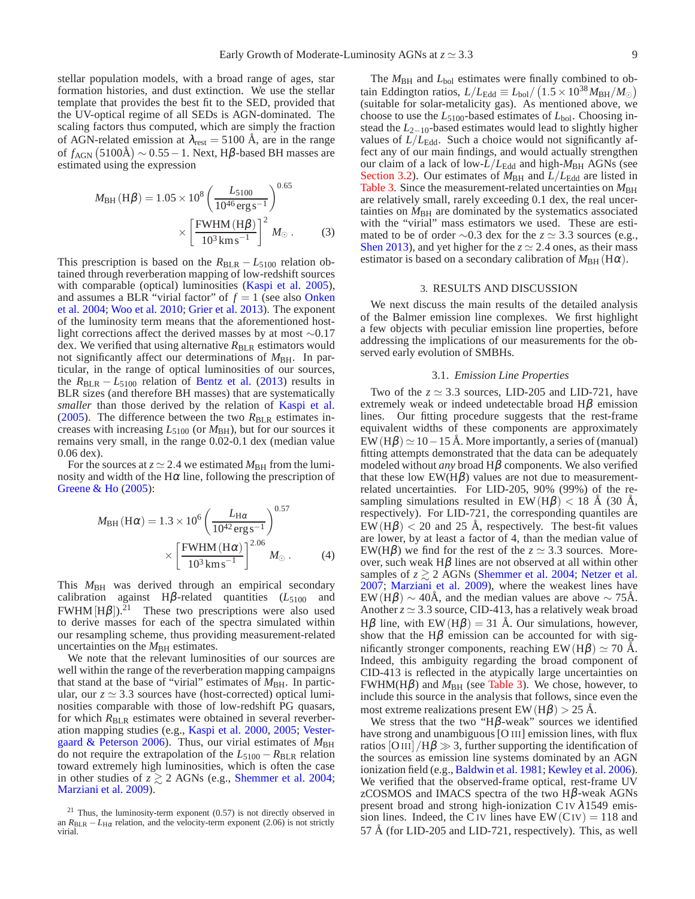stellar population models, with a broad range of ages, star formation histories, and dust extinction. We use the stellar template that provides the best fit to the SED, provided that the UV-optical regime of all SEDs is AGN-dominated. The scaling factors thus computed, which are simply the fraction of AGN-related emission at  $\lambda_{rest} = 5100$  Å, are in the range of  $f_{\rm AGN}\left(5100{\rm \AA}\right)\sim0.55-1.$  Next, H $\beta$ -based BH masses are estimated using the expression

<span id="page-8-2"></span>
$$
M_{\rm BH}(\rm H\beta) = 1.05 \times 10^8 \left(\frac{L_{5100}}{10^{46} \rm erg \, s^{-1}}\right)^{0.65}
$$

$$
\times \left[\frac{\rm FWHM(\rm H\beta)}{10^3 \rm km \, s^{-1}}\right]^2 M_{\odot} \,. \tag{3}
$$

This prescription is based on the  $R_{BLR} - L_{5100}$  relation obtained through reverberation mapping of low-redshift sources with comparable (optical) luminosities [\(Kaspi et al. 2005\)](#page-15-84), and [assumes a BLR "virial factor" of](#page-15-85)  $f = 1$  (see also Onken et al. [2004;](#page-15-85) [Woo et al. 2010](#page-15-86); [Grier et al. 2013\)](#page-15-87). The exponent of the luminosity term means that the aforementioned hostlight corrections affect the derived masses by at most ∼0.17 dex. We verified that using alternative  $R_{BLR}$  estimators would not significantly affect our determinations of  $M_{\rm BH}$ . In particular, in the range of optical luminosities of our sources, the  $R_{BLR} - L_{5100}$  relation of [Bentz et al.](#page-15-88) [\(2013](#page-15-88)) results in BLR sizes (and therefore BH masses) that are systematically *smaller* than those derived by the relation of [Kaspi et al.](#page-15-84) [\(2005](#page-15-84)). The difference between the two  $R<sub>BLR</sub>$  estimates increases with increasing *L*<sup>5100</sup> (or *M*BH), but for our sources it remains very small, in the range 0.02-0.1 dex (median value 0.06 dex).

For the sources at  $z \approx 2.4$  we estimated  $M_{BH}$  from the luminosity and width of the H $\alpha$  line, following the prescription of [Greene & Ho](#page-15-57) [\(2005](#page-15-57)):

<span id="page-8-3"></span>
$$
M_{\rm BH}(\rm H\alpha) = 1.3 \times 10^6 \left(\frac{L_{\rm H\alpha}}{10^{42} \rm erg \, s^{-1}}\right)^{0.57}
$$

$$
\times \left[\frac{\rm FWHM(\rm H\alpha)}{10^3 \rm km \, s^{-1}}\right]^{2.06} M_{\odot} \,. \tag{4}
$$

This  $M_{BH}$  was derived through an empirical secondary calibration against Hβ-related quantities (*L*<sup>5100</sup> and FWHM  $[H\beta]$ ).<sup>21</sup> These two prescriptions were also used to derive masses for each of the spectra simulated within our resampling scheme, thus providing measurement-related uncertainties on the  $M_{BH}$  estimates.

We note that the relevant luminosities of our sources are well within the range of the reverberation mapping campaigns that stand at the base of "virial" estimates of  $M_{BH}$ . In particular, our  $z \approx 3.3$  sources have (host-corrected) optical luminosities comparable with those of low-redshift PG quasars, for which  $R_{BLR}$  estimates were obtained in several reverberation mapping studies (e.g., [Kaspi et al. 2000](#page-15-89)[,](#page-15-90) [2005](#page-15-84); Vester-gaard & Peterson [2006](#page-15-90)). Thus, our virial estimates of  $M_{\rm BH}$ do not require the extrapolation of the *L*<sup>5100</sup> − *R*BLR relation toward extremely high luminosities, which is often the case in other studies of  $z \gtrsim 2$  AGNs (e.g., **[Shemmer et al. 2004;](#page-15-20)** [Marziani et al. 2009](#page-15-24)).

The  $M_{\rm BH}$  and  $L_{\rm bol}$  estimates were finally combined to obtain Eddington ratios,  $L/L_{\text{Edd}} \equiv L_{\text{bol}} / (1.5 \times 10^{38} M_{\text{BH}} / M_{\odot})$ (suitable for solar-metalicity gas). As mentioned above, we choose to use the  $L_{5100}$ -based estimates of  $L_{bol}$ . Choosing instead the *L*<sub>2−10</sub>-based estimates would lead to slightly higher values of  $L/L_{\text{Edd}}$ . Such a choice would not significantly affect any of our main findings, and would actually strengthen our claim of a lack of low- $L/L_{\text{Edd}}$  and high- $M_{\text{BH}}$  AGNs (see [Section 3.2\)](#page-9-0). Our estimates of  $M_{BH}$  and  $L/L_{Edd}$  are listed in [Table 3.](#page-9-1) Since the measurement-related uncertainties on  $M_{\rm BH}$ are relatively small, rarely exceeding 0.1 dex, the real uncertainties on  $M<sub>BH</sub>$  are dominated by the systematics associated with the "virial" mass estimators we used. These are estimated to be of order ∼0.3 dex for the *z* ≃ 3.3 sources (e.g., [Shen 2013](#page-15-55)), and yet higher for the  $z \approx 2.4$  ones, as their mass estimator is based on a secondary calibration of  $M_{BH}$  (H $\alpha$ ).

### 3. RESULTS AND DISCUSSION

<span id="page-8-0"></span>We next discuss the main results of the detailed analysis of the Balmer emission line complexes. We first highlight a few objects with peculiar emission line properties, before addressing the implications of our measurements for the observed early evolution of SMBHs.

## 3.1. *Emission Line Properties*

<span id="page-8-1"></span>Two of the  $z \approx 3.3$  sources, LID-205 and LID-721, have extremely weak or indeed undetectable broad  $H\beta$  emission lines. Our fitting procedure suggests that the rest-frame equivalent widths of these components are approximately EW(H $\beta$ )  $\simeq$  10 – 15 Å. More importantly, a series of (manual) fitting attempts demonstrated that the data can be adequately modeled without *any* broad  $H\beta$  components. We also verified that these low  $EW(H\beta)$  values are not due to measurementrelated uncertainties. For LID-205, 90% (99%) of the resampling simulations resulted in  $EW(H\beta) < 18$  Å (30 Å, respectively). For LID-721, the corresponding quantiles are  $EW(H\beta) < 20$  and 25 Å, respectively. The best-fit values are lower, by at least a factor of 4, than the median value of EW(H $\beta$ ) we find for the rest of the  $z \approx 3.3$  sources. Moreover, such weak  $Hβ$  lines are not observed at all within other samples of  $z \gtrsim 2$  AGNs [\(Shemmer et al. 2004](#page-15-20); [Netzer et al.](#page-15-22) [2007;](#page-15-22) [Marziani et al. 2009\)](#page-15-24), where the weakest lines have EW(H $\beta$ ) ~ 40Å, and the median values are above ~ 75Å. Another  $z \approx 3.3$  source, CID-413, has a relatively weak broad H $\beta$  line, with EW(H $\beta$ ) = 31 Å. Our simulations, however, show that the H $\beta$  emission can be accounted for with significantly stronger components, reaching EW(H $\beta$ )  $\simeq$  70 Å. Indeed, this ambiguity regarding the broad component of CID-413 is reflected in the atypically large uncertainties on FWHM(H $\beta$ ) and  $M_{BH}$  (see [Table 3\)](#page-9-1). We chose, however, to include this source in the analysis that follows, since even the most extreme realizations present EW( $H\beta$ ) > 25 Å.

We stress that the two "H $\beta$ -weak" sources we identified have strong and unambiguous [O III] emission lines, with flux ratios [OIII]/H $\beta \gg 3$ , further supporting the identification of the sources as emission line systems dominated by an AGN ionization field (e.g., [Baldwin et al. 1981](#page-15-91); [Kewley et al. 2006](#page-15-92)). We verified that the observed-frame optical, rest-frame UV zCOSMOS and IMACS spectra of the two  $H\beta$ -weak AGNs present broad and strong high-ionization C IV  $\lambda$ 1549 emission lines. Indeed, the C IV lines have  $EW(CIV) = 118$  and  $57 \text{ Å}$  (for LID-205 and LID-721, respectively). This, as well

 $21$  Thus, the luminosity-term exponent (0.57) is not directly observed in an  $R_{BLR} - L_{H\alpha}$  relation, and the velocity-term exponent (2.06) is not strictly virial.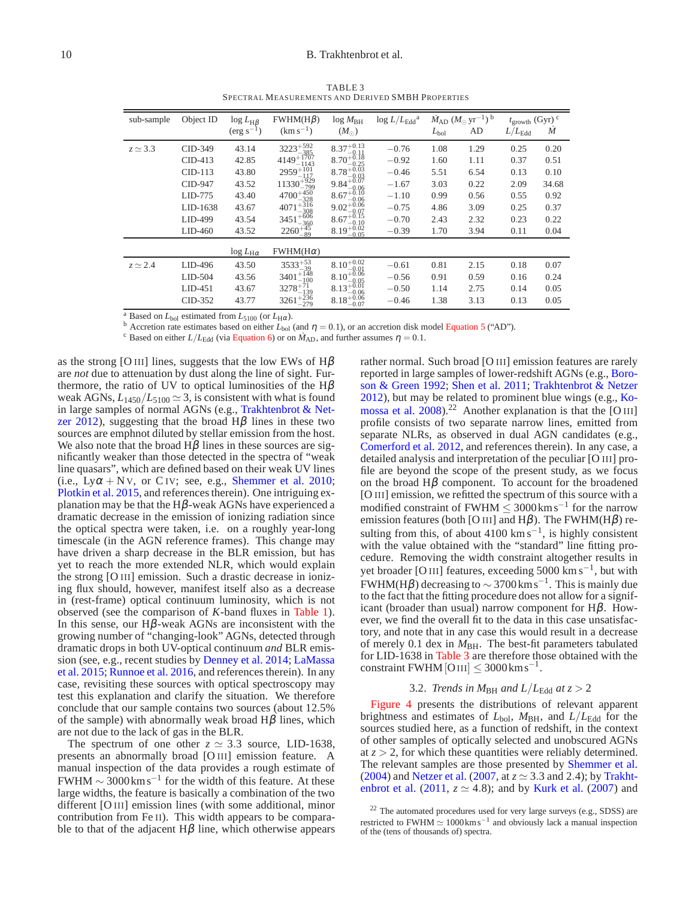<span id="page-9-1"></span>

| sub-sample      | Object ID | $\log L_{\rm H\beta}$     |                                                      | $log M_{BH}$                                                               | $\log L/L_{\rm Edd}$ <sup>a</sup> | $M_{AD}$ $(M_{\odot} \,\rm yr^{-1})^{b}$ |      | $t_{\text{growth}}$ (Gyr) <sup>c</sup> |       |
|-----------------|-----------|---------------------------|------------------------------------------------------|----------------------------------------------------------------------------|-----------------------------------|------------------------------------------|------|----------------------------------------|-------|
|                 |           | $(\text{erg } s^{-1})$    | $(km s^{-1})$                                        | $(M_{\odot})$                                                              |                                   | $L_{bol}$                                | AD   | $L/L_{\rm Edd}$                        | M     |
| $z \approx 3.3$ | CID-349   | 43.14                     | $3223^{+592}_{-385}$                                 | $8.37_{-0.11}^{+0.13}$<br>$8.70_{-0.25}^{+0.18}$                           | $-0.76$                           | 1.08                                     | 1.29 | 0.25                                   | 0.20  |
|                 | $CID-413$ | 42.85                     | $4149 + 1707$                                        |                                                                            | $-0.92$                           | 1.60                                     | 1.11 | 0.37                                   | 0.51  |
|                 | $CID-113$ | 43.80                     |                                                      | $8.78^{+0.03}_{-0.02}$                                                     | $-0.46$                           | 5.51                                     | 6.54 | 0.13                                   | 0.10  |
|                 | CID-947   | 43.52                     | $2959^{+101}_{-117}$<br>11330 <sup>+929</sup>        | $0.78 - 0.03$<br>9.84 + 0.07                                               | $-1.67$                           | 3.03                                     | 0.22 | 2.09                                   | 34.68 |
|                 | $LID-775$ | 43.40                     |                                                      |                                                                            | $-1.10$                           | 0.99                                     | 0.56 | 0.55                                   | 0.92  |
|                 | LID-1638  | 43.67                     | $4700^{+450}_{-328}$<br>$4071^{+316}_{-308}$         | $8.67^{+0.10}_{-0.06}$<br>$9.02^{+0.06}_{-0.07}$<br>$8.67^{+0.15}_{-0.10}$ | $-0.75$                           | 4.86                                     | 3.09 | 0.25                                   | 0.37  |
|                 | LID-499   | 43.54                     | $3451^{+606}_{-360}$                                 |                                                                            | $-0.70$                           | 2.43                                     | 2.32 | 0.23                                   | 0.22  |
|                 | $LID-460$ | 43.52                     | $2260^{+45}_{-89}$                                   | $8.19_{-0.05}^{+0.02}$                                                     | $-0.39$                           | 1.70                                     | 3.94 | 0.11                                   | 0.04  |
|                 |           | $\log L_{\text{H}\alpha}$ | $FWHM(H\alpha)$                                      |                                                                            |                                   |                                          |      |                                        |       |
| $z \approx 2.4$ | LID-496   | 43.50                     | $\substack{\\ 3533^{+53}_{-39}\\3401^{+148}_{-100}}$ | $8.10_{-0.01}^{+0.02}$<br>$8.10_{-0.05}^{+0.06}$                           | $-0.61$                           | 0.81                                     | 2.15 | 0.18                                   | 0.07  |
|                 | $LID-504$ | 43.56                     |                                                      |                                                                            | $-0.56$                           | 0.91                                     | 0.59 | 0.16                                   | 0.24  |
|                 | $LID-451$ | 43.67                     |                                                      | $8.13_{-0.06}^{+0.01}$                                                     | $-0.50$                           | 1.14                                     | 2.75 | 0.14                                   | 0.05  |
|                 | CID-352   | 43.77                     | $3278^{+71}_{-139}_{-139}$<br>3261 <sup>+236</sup>   | $8.18_{-0.07}^{+0.06}$                                                     | $-0.46$                           | 1.38                                     | 3.13 | 0.13                                   | 0.05  |

TABLE 3 SPECTRAL MEASUREMENTS AND DERIVED SMBH PROPERTIES

<sup>a</sup> Based on  $L_{bol}$  estimated from  $L_{5100}$  (or  $L_{H\alpha}$ ).

<sup>b</sup> Accretion rate estimates based on either  $L_{bol}$  (and  $\eta = 0.1$ ), or an accretion disk model [Equation 5](#page-11-1) ("AD").

<sup>c</sup> Based on either *L*/*L*<sub>Edd</sub> (via [Equation 6\)](#page-11-2) or on  $\dot{M}_{AD}$ , and further assumes  $\eta = 0.1$ .

as the strong [O III] lines, suggests that the low EWs of  $H\beta$ are *not* due to attenuation by dust along the line of sight. Furthermore, the ratio of UV to optical luminosities of the  $H\beta$ weak AGNs,  $L_{1450}/L_{5100} \simeq 3$ , is consistent with what is found in [large samples of normal AGNs \(e.g.,](#page-15-18) Trakhtenbrot & Net-zer [2012\)](#page-15-18), suggesting that the broad  $H\beta$  lines in these two sources are emphnot diluted by stellar emission from the host. We also note that the broad  $H\beta$  lines in these sources are significantly weaker than those detected in the spectra of "weak line quasars", which are defined based on their weak UV lines (i.e.,  $Ly\alpha + Nv$ , or C IV; see, e.g., [Shemmer et al. 2010;](#page-15-93) [Plotkin et al. 2015,](#page-15-94) and references therein). One intriguing explanation may be that the H $\beta$ -weak AGNs have experienced a dramatic decrease in the emission of ionizing radiation since the optical spectra were taken, i.e. on a roughly year-long timescale (in the AGN reference frames). This change may have driven a sharp decrease in the BLR emission, but has yet to reach the more extended NLR, which would explain the strong [O III] emission. Such a drastic decrease in ionizing flux should, however, manifest itself also as a decrease in (rest-frame) optical continuum luminosity, which is not observed (see the comparison of *K*-band fluxes in [Table 1\)](#page-3-0). In this sense, our  $H\beta$ -weak AGNs are inconsistent with the growing number of "changing-look" AGNs, detected through dramatic drops in both UV-optical continuum *and* BLR emission [\(see, e.g., recent studies by](#page-15-96) [Denney et al. 2014](#page-15-95); LaMassa et al. [2015;](#page-15-96) [Runnoe et al. 2016](#page-15-97), and references therein). In any case, revisiting these sources with optical spectroscopy may test this explanation and clarify the situation. We therefore conclude that our sample contains two sources (about 12.5% of the sample) with abnormally weak broad  $H\beta$  lines, which are not due to the lack of gas in the BLR.

The spectrum of one other  $z \approx 3.3$  source, LID-1638, presents an abnormally broad [O III] emission feature. A manual inspection of the data provides a rough estimate of FWHM  $\sim$  3000 km s<sup>-1</sup> for the width of this feature. At these large widths, the feature is basically a combination of the two different [O III] emission lines (with some additional, minor contribution from Fe II). This width appears to be comparable to that of the adjacent  $H\beta$  line, which otherwise appears rather normal. Such broad [O III] emission features are rarely reported in l[arge samples of lower-redshift AGNs \(e.g.,](#page-15-79) Boroson & Green [1992;](#page-15-79) [Shen et al. 2011](#page-15-78); [Trakhtenbrot & Netzer](#page-15-18)  $2012$ ), but [may be related to prominent blue wings \(e.g.,](#page-15-98) Ko-mossa et al. [2008](#page-15-98)).<sup>22</sup> Another explanation is that the [O III] profile consists of two separate narrow lines, emitted from separate NLRs, as observed in dual AGN candidates (e.g., [Comerford et al. 2012,](#page-15-99) and references therein). In any case, a detailed analysis and interpretation of the peculiar [O III] profile are beyond the scope of the present study, as we focus on the broad  $H\beta$  component. To account for the broadened [O III] emission, we refitted the spectrum of this source with a modified constraint of FWHM  $\leq 3000$  km s<sup>-1</sup> for the narrow emission features (both [O III] and H $\beta$ ). The FWHM(H $\beta$ ) resulting from this, of about 4100 km s<sup> $-1$ </sup>, is highly consistent with the value obtained with the "standard" line fitting procedure. Removing the width constraint altogether results in yet broader [O III] features, exceeding 5000 km s<sup>-1</sup>, but with FWHM(H $\beta$ ) decreasing to  $\sim$  3700 km s<sup>-1</sup>. This is mainly due to the fact that the fitting procedure does not allow for a significant (broader than usual) narrow component for  $H\beta$ . However, we find the overall fit to the data in this case unsatisfactory, and note that in any case this would result in a decrease of merely 0.1 dex in  $M_{\text{BH}}$ . The best-fit parameters tabulated for LID-1638 in [Table 3](#page-9-1) are therefore those obtained with the constraint FWHM  $[OIII] \leq 3000 \text{ km s}^{-1}$ .

## 3.2. *Trends in*  $M_{BH}$  *and L*/*L*<sub>Edd</sub> *at*  $z > 2$

<span id="page-9-0"></span>[Figure 4](#page-10-0) presents the distributions of relevant apparent brightness and estimates of  $L_{bol}$ ,  $M_{BH}$ , and  $L/L_{Edd}$  for the sources studied here, as a function of redshift, in the context of other samples of optically selected and unobscured AGNs at  $z > 2$ , for which these quantities were reliably determined. The relevant samples are those presented by [Shemmer et al.](#page-15-20) [\(2004](#page-15-20)) and [Netzer et al.](#page-15-22) [\(2007](#page-15-22), at *z* ≃ 3.3 and 2.4); by Trakht-enbrot et al. [\(2011,](#page-15-27)  $z \approx 4.8$ ); and by [Kurk et al.](#page-15-21) [\(2007](#page-15-21)) and

 $22$  The automated procedures used for very large surveys (e.g., SDSS) are restricted to FWHM  $\simeq 1000 \text{km s}^{-1}$  and obviously lack a manual inspection of the (tens of thousands of) spectra.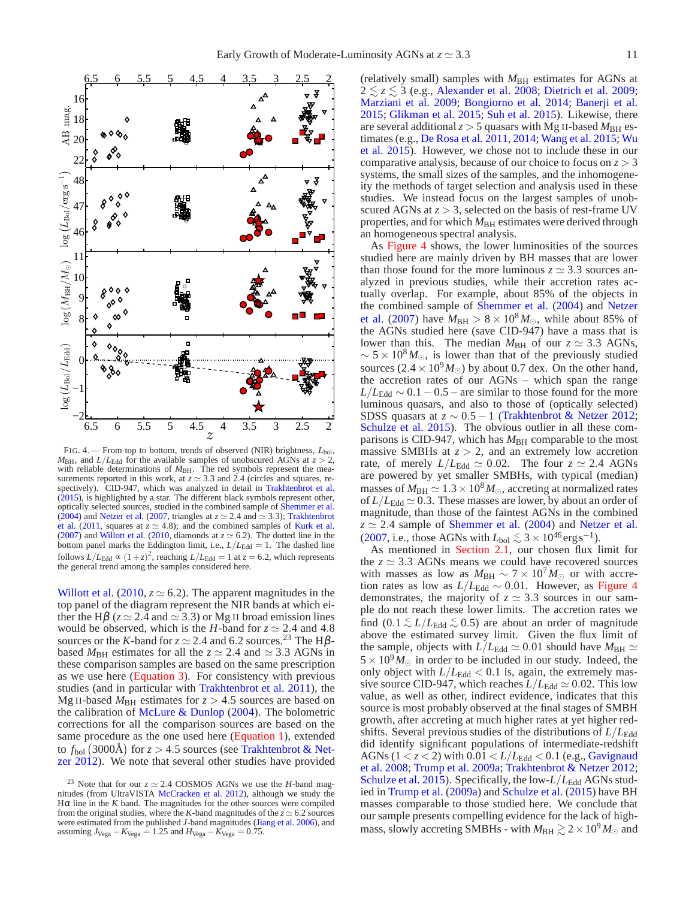<span id="page-10-0"></span>

FIG. 4.— From top to bottom, trends of observed (NIR) brightness,  $L_{bol}$ ,  $M_{\text{BH}}$ , and  $L/L_{\text{Edd}}$  for the available samples of unobscured AGNs at  $z > 2$ , with reliable determinations of  $M_{\text{BH}}$ . The red symbols represent the measurements reported in this work, at  $z \approx 3.3$  and 2.4 (circles and squares, respectively). CID-947, which was analyzed in detail in [Trakhtenbrot et al.](#page-15-49)  $(2015)$  $(2015)$ , is highlighted by a star. The different black symbols represent other, optically selected sources, studied in the combined sample of [Shemmer et al.](#page-15-20) [\(2004](#page-15-20)) and [Netzer et al.](#page-15-22) [\(2007](#page-15-22), triangles at  $z \approx 2.4$  and  $\simeq 3.3$ ); Trakhtenbrot et al. [\(2011](#page-15-27), squares at  $z \approx 4.8$ ); and the combined samples of [Kurk et al.](#page-15-21) [\(2007](#page-15-21)) and [Willott et al.](#page-15-25) [\(2010](#page-15-25), diamonds at  $z \approx 6.2$ ). The dotted line in the bottom panel marks the Eddington limit, i.e.,  $L/L_{\text{Edd}} = 1$ . The dashed line follows  $L/L_{\text{Edd}} \propto (1+z)^2$ , reaching  $L/L_{\text{Edd}} = 1$  at  $z = 6.2$ , which represents the general trend among the samples considered here.

[Willott et al.](#page-15-25) [\(2010,](#page-15-25)  $z \approx 6.2$ ). The apparent magnitudes in the top panel of the diagram represent the NIR bands at which either the H $\beta$  ( $z \approx 2.4$  and  $\approx 3.3$ ) or Mg II broad emission lines would be observed, which is the *H*-band for  $z \approx 2.4$  and 4.8 sources or the *K*-band for  $z \approx 2.4$  and 6.2 sources.<sup>23</sup> The H $\beta$ based  $M_{\text{BH}}$  estimates for all the  $z \approx 2.4$  and  $\simeq 3.3$  AGNs in these comparison samples are based on the same prescription as we use here [\(Equation 3\)](#page-8-2). For consistency with previous studies (and in particular with [Trakhtenbrot et al. 2011\)](#page-15-27), the Mg II-based  $M_{\text{BH}}$  estimates for  $z > 4.5$  sources are based on the calibration of McLure  $&$  Dunlop [\(2004](#page-15-100)). The bolometric corrections for all the comparison sources are based on the same procedure as the one used here [\(Equation 1\)](#page-6-2), extended to  $f_{\text{bol}} \left( 3000 \text{\AA} \right)$  for  $z > 4.5$  sources (see Trakhtenbrot & Netzer [2012](#page-15-18)). We note that several other studies have provided

(relatively small) samples with  $M_{BH}$  estimates for AGNs at  $2 \lesssim z \lesssim 3$  (e.g., [Alexander et al. 2008;](#page-15-102) [Dietrich et al. 2009](#page-15-23); [Marziani et al. 2009;](#page-15-24) [Bongiorno et al. 2014](#page-15-103); [Banerji et al.](#page-15-62) [2015;](#page-15-62) [Glikman et al. 2015;](#page-15-63) [Suh et al. 2015](#page-15-104)). Likewise, there are several additional  $z > 5$  quasars with Mg II-based  $M_{BH}$  estimates (e.g., [De Rosa et al. 2011](#page-15-26)[,](#page-15-106) [2014](#page-15-29); [Wang et al. 2015](#page-15-105); Wu et al. [2015](#page-15-106)). However, we chose not to include these in our comparative analysis, because of our choice to focus on *z* > 3 systems, the small sizes of the samples, and the inhomogeneity the methods of target selection and analysis used in these studies. We instead focus on the largest samples of unobscured AGNs at  $z > 3$ , selected on the basis of rest-frame UV properties, and for which  $M_{BH}$  estimates were derived through an homogeneous spectral analysis.

As [Figure 4](#page-10-0) shows, the lower luminosities of the sources studied here are mainly driven by BH masses that are lower than those found for the more luminous  $z \approx 3.3$  sources analyzed in previous studies, while their accretion rates actually overlap. For example, about 85% of the objects in the c[ombined sample of](#page-15-22) [Shemmer et al.](#page-15-20) [\(2004](#page-15-20)) and Netzer et al. [\(2007\)](#page-15-22) have  $M_{\text{BH}} > 8 \times 10^8 M_{\odot}$ , while about 85% of the AGNs studied here (save CID-947) have a mass that is lower than this. The median  $M_{BH}$  of our  $z \approx 3.3$  AGNs,  $\sim$  5 × 10<sup>8</sup> $M_{\odot}$ , is lower than that of the previously studied sources ( $2.4 \times 10^9 M_{\odot}$ ) by about 0.7 dex. On the other hand, the accretion rates of our AGNs – which span the range  $L/L_{\text{Edd}} \sim 0.1 - 0.5$  – are similar to those found for the more luminous quasars, and also to those of (optically selected) SDSS quasars at *z* ∼ 0.5 − 1 [\(Trakhtenbrot & Netzer 2012](#page-15-18); [Schulze et al. 2015\)](#page-15-107). The obvious outlier in all these comparisons is CID-947, which has  $M_{BH}$  comparable to the most massive SMBHs at  $z > 2$ , and an extremely low accretion rate, of merely  $L/L_{\text{Edd}} \simeq 0.02$ . The four  $z \simeq 2.4$  AGNs are powered by yet smaller SMBHs, with typical (median) masses of  $M_{\rm BH}$   $\simeq 1.3\times 10^8 M_{\odot}$ , accreting at normalized rates of  $L/L_{\rm Edd} \simeq 0.3$ . These masses are lower, by about an order of magnitude, than those of the faintest AGNs in the combined  $z \approx 2.4$  sample of [Shemmer et al.](#page-15-20) [\(2004\)](#page-15-20) and [Netzer et al.](#page-15-22) [\(2007](#page-15-22), i.e., those AGNs with  $L_{bol} \lesssim 3 \times 10^{46} \text{erg s}^{-1}$ ).

As mentioned in [Section 2.1,](#page-1-1) our chosen flux limit for the  $z \approx 3.3$  AGNs means we could have recovered sources with masses as low as  $M_{\text{BH}} \sim 7 \times 10^7 M_{\odot}$  or with accretion rates as low as  $L/L_{\text{Edd}} \sim 0.01$ . However, as [Figure 4](#page-10-0) demonstrates, the majority of  $z \approx 3.3$  sources in our sample do not reach these lower limits. The accretion rates we find  $(0.1 \le L/L_{\text{Edd}} \le 0.5)$  are about an order of magnitude above the estimated survey limit. Given the flux limit of the sample, objects with  $L/L_{\text{Edd}} \simeq 0.01$  should have  $M_{\text{BH}} \simeq$  $5 \times 10^9 M_{\odot}$  in order to be included in our study. Indeed, the only object with  $L/L_{\text{Edd}} < 0.1$  is, again, the extremely massive source CID-947, which reaches  $L/L_{\text{Edd}} \simeq 0.02$ . This low value, as well as other, indirect evidence, indicates that this source is most probably observed at the final stages of SMBH growth, after accreting at much higher rates at yet higher redshifts. Several previous studies of the distributions of  $L/L_{\text{Edd}}$ did identify significant populations of intermediate-redshift AGNs  $(1 < z < 2)$  with  $0.01 < L/L_{\text{Edd}} < 0.1$  (e.g., Gavignaud et al. [2008;](#page-15-108) [Trump et al. 2009a;](#page-15-109) [Trakhtenbrot & Netzer 2012](#page-15-18); [Schulze et al. 2015](#page-15-107)). Specifically, the low- $L/L_{\text{Edd}}$  AGNs studied in [Trump et al.](#page-15-109) [\(2009a\)](#page-15-109) and [Schulze et al.](#page-15-107) [\(2015\)](#page-15-107) have BH masses comparable to those studied here. We conclude that our sample presents compelling evidence for the lack of highmass, slowly accreting SMBHs - with  $M_{BH} \gtrsim 2 \times 10^9 M_{\odot}$  and

<sup>&</sup>lt;sup>23</sup> Note that for our  $z \approx 2.4$  COSMOS AGNs we use the *H*-band mag-nitudes (from UltraVISTA [McCracken et al. 2012\)](#page-15-56), although we study the H $\alpha$  line in the *K* band. The magnitudes for the other sources were compiled from the original studies, where the *K*-band magnitudes of the  $z \approx 6.2$  sources were estimated from the published *J*-band magnitudes [\(Jiang et al. 2006](#page-15-101)), and assuming  $J_{\text{Vega}} - K_{\text{Vega}} = 1.25$  and  $H_{\text{Vega}} - K_{\text{Vega}} = 0.75$ .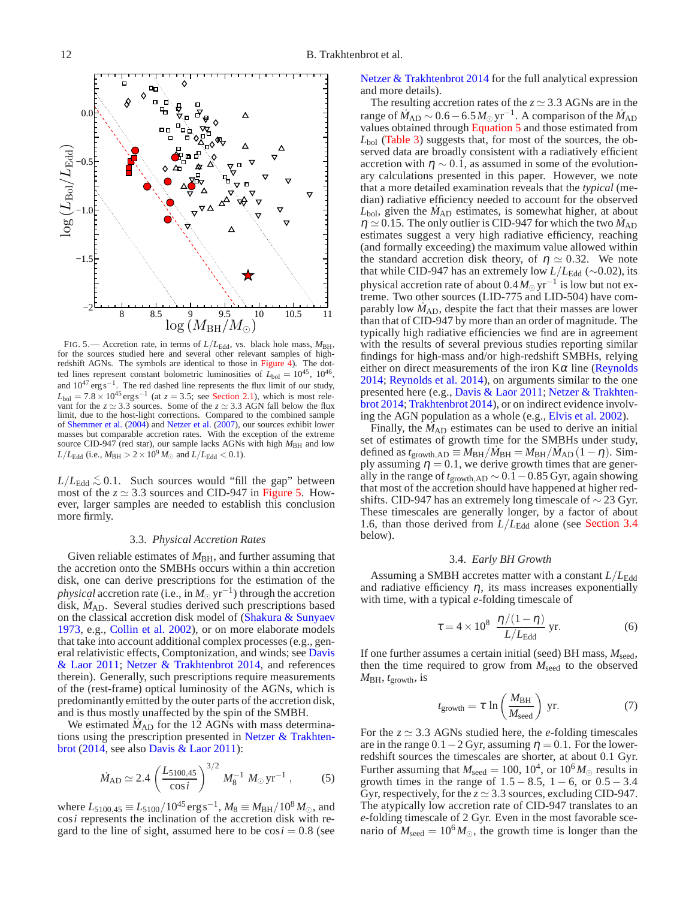<span id="page-11-0"></span>

FIG. 5.— Accretion rate, in terms of  $L/L_{\text{Edd}}$ , vs. black hole mass,  $M_{\text{BH}}$ , for the sources studied here and several other relevant samples of highredshift AGNs. The symbols are identical to those in [Figure 4\)](#page-10-0). The dotted lines represent constant bolometric luminosities of  $L_{bol} = 10^{45}$ ,  $10^{46}$ , and  $10^{47}$  erg s<sup>-1</sup>. The red dashed line represents the flux limit of our study,  $L_{bol} = 7.8 \times 10^{45} \text{ erg s}^{-1}$  (at  $z = 3.5$ ; see [Section 2.1\)](#page-1-1), which is most relevant for the  $z \approx 3.3$  sources. Some of the  $z \approx 3.3$  AGN fall below the flux limit, due to the host-light corrections. Compared to the combined sample of [Shemmer et al.](#page-15-20) [\(2004\)](#page-15-20) and [Netzer et al.](#page-15-22) [\(2007](#page-15-22)), our sources exhibit lower masses but comparable accretion rates. With the exception of the extreme source CID-947 (red star), our sample lacks AGNs with high  $M_{\text{BH}}$  and low  $L/L_{\text{Edd}}$  (i.e.,  $M_{\text{BH}} > 2 \times 10^9 M_{\odot}$  and  $L/L_{\text{Edd}} < 0.1$ ).

 $L/L_{\text{Edd}} \lesssim 0.1$ . Such sources would "fill the gap" between most of the  $z \approx 3.3$  sources and CID-947 in [Figure 5.](#page-11-0) However, larger samples are needed to establish this conclusion more firmly.

### 3.3. *Physical Accretion Rates*

<span id="page-11-4"></span>Given reliable estimates of  $M_{\rm BH}$ , and further assuming that the accretion onto the SMBHs occurs within a thin accretion disk, one can derive prescriptions for the estimation of the *physical* accretion rate (i.e., in  $M_{\odot}$  yr<sup>-1</sup>) through the accretion disk,  $M_{AD}$ . Several studies derived such prescriptions based on the classical accretion disk model of  $(Shakura & Sunyaev)$ [1973,](#page-15-110) e.g., [Collin et al. 2002\)](#page-15-111), or on more elaborate models that take into account additional complex processes (e.g., general rel[ativistic effects, Comptonization, and winds; see](#page-15-112) Davis & Laor [2011](#page-15-112); [Netzer & Trakhtenbrot 2014](#page-15-113), and references therein). Generally, such prescriptions require measurements of the (rest-frame) optical luminosity of the AGNs, which is predominantly emitted by the outer parts of the accretion disk, and is thus mostly unaffected by the spin of the SMBH.

We estimated  $\dot{M}_{AD}$  for the 12 AGNs with mass determination[s using the prescription presented in](#page-15-113) Netzer & Trakhtenbrot [\(2014,](#page-15-113) see also [Davis & Laor 2011](#page-15-112)):

<span id="page-11-1"></span>
$$
\dot{M}_{\rm AD} \simeq 2.4 \left( \frac{L_{5100,45}}{\cos i} \right)^{3/2} M_8^{-1} M_{\odot} \, \text{yr}^{-1} \,, \tag{5}
$$

where  $L_{5100,45} \equiv L_{5100}/10^{45} \,\text{erg}\,\text{s}^{-1}$ ,  $M_8 \equiv M_{\text{BH}}/10^8 M_{\odot}$ , and cos*i* represents the inclination of the accretion disk with regard to the line of sight, assumed here to be  $\cos i = 0.8$  (see [Netzer & Trakhtenbrot 2014](#page-15-113) for the full analytical expression and more details).

The resulting accretion rates of the  $z \approx 3.3$  AGNs are in the range of  $\dot{M}_{\rm{AD}}$   $\sim 0.6-6.5\,M_{\odot}\,\rm{yr}^{-1}$ . A comparison of the  $\dot{M}_{\rm{AD}}$ values obtained through [Equation 5](#page-11-1) and those estimated from *L*bol [\(Table 3\)](#page-9-1) suggests that, for most of the sources, the observed data are broadly consistent with a radiatively efficient accretion with  $\eta \sim 0.1$ , as assumed in some of the evolutionary calculations presented in this paper. However, we note that a more detailed examination reveals that the *typical* (median) radiative efficiency needed to account for the observed  $L_{\text{bol}}$ , given the  $M_{\text{AD}}$  estimates, is somewhat higher, at about  $\eta \simeq 0.15$ . The only outlier is CID-947 for which the two  $M_{AD}$ estimates suggest a very high radiative efficiency, reaching (and formally exceeding) the maximum value allowed within the standard accretion disk theory, of  $\eta \simeq 0.32$ . We note that while CID-947 has an extremely low  $L/L_{\rm Edd}$  ( $\sim$ 0.02), its physical accretion rate of about 0.4  $M_{\odot}$  yr<sup>-1</sup> is low but not extreme. Two other sources (LID-775 and LID-504) have comparably low  $\dot{M}_{AD}$ , despite the fact that their masses are lower than that of CID-947 by more than an order of magnitude. The typically high radiative efficiencies we find are in agreement with the results of several previous studies reporting similar findings for high-mass and/or high-redshift SMBHs, relying either on direct measurements of the iron  $K\alpha$  line [\(Reynolds](#page-15-114) [2014;](#page-15-114) [Reynolds et al. 2014](#page-15-115)), on arguments similar to the one presented here (e.g., [Davis & Laor 2011](#page-15-112)[;](#page-15-113) Netzer & Trakhtenbrot [2014;](#page-15-113) [Trakhtenbrot 2014](#page-15-116)), or on indirect evidence involving the AGN population as a whole (e.g., [Elvis et al. 2002\)](#page-15-117).

Finally, the  $M_{AD}$  estimates can be used to derive an initial set of estimates of growth time for the SMBHs under study, defined as  $t_{\text{growth,AD}} \equiv M_{\text{BH}}/M_{\text{BH}} = M_{\text{BH}}/M_{\text{AD}} (1 - \eta)$ . Simply assuming  $\eta = 0.1$ , we derive growth times that are generally in the range of  $t_{\text{growth,AD}}$  ~ 0.1 – 0.85 Gyr, again showing that most of the accretion should have happened at higher redshifts. CID-947 has an extremely long timescale of  $\sim$  23 Gyr. These timescales are generally longer, by a factor of about 1.6, than those derived from  $L/L_{\text{Edd}}$  alone (see [Section 3.4](#page-11-3)) below).

### 3.4. *Early BH Growth*

<span id="page-11-3"></span>Assuming a SMBH accretes matter with a constant  $L/L_{\rm Edd}$ and radiative efficiency  $\eta$ , its mass increases exponentially with time, with a typical *e*-folding timescale of

<span id="page-11-2"></span>
$$
\tau = 4 \times 10^8 \frac{\eta/(1-\eta)}{L/L_{\rm Edd}} \text{ yr.}
$$
 (6)

If one further assumes a certain initial (seed) BH mass,  $M_{\text{seed}}$ , then the time required to grow from  $M_{\text{seed}}$  to the observed *M*BH, *t*growth, is

<span id="page-11-5"></span>
$$
t_{\text{growth}} = \tau \ln \left( \frac{M_{\text{BH}}}{M_{\text{seed}}} \right) \text{ yr.}
$$
 (7)

For the  $z \approx 3.3$  AGNs studied here, the *e*-folding timescales are in the range  $0.1-2$  Gyr, assuming  $\eta = 0.1$ . For the lowerredshift sources the timescales are shorter, at about 0.1 Gyr. Further assuming that  $M_{\text{seed}} = 100, 10^4$ , or  $10^6 M_{\odot}$  results in growth times in the range of  $1.5 - 8.5$ ,  $1 - 6$ , or  $0.5 - 3.4$ Gyr, respectively, for the  $z \approx 3.3$  sources, excluding CID-947. The atypically low accretion rate of CID-947 translates to an *e*-folding timescale of 2 Gyr. Even in the most favorable scenario of  $M_{\text{seed}} = 10^6 M_{\odot}$ , the growth time is longer than the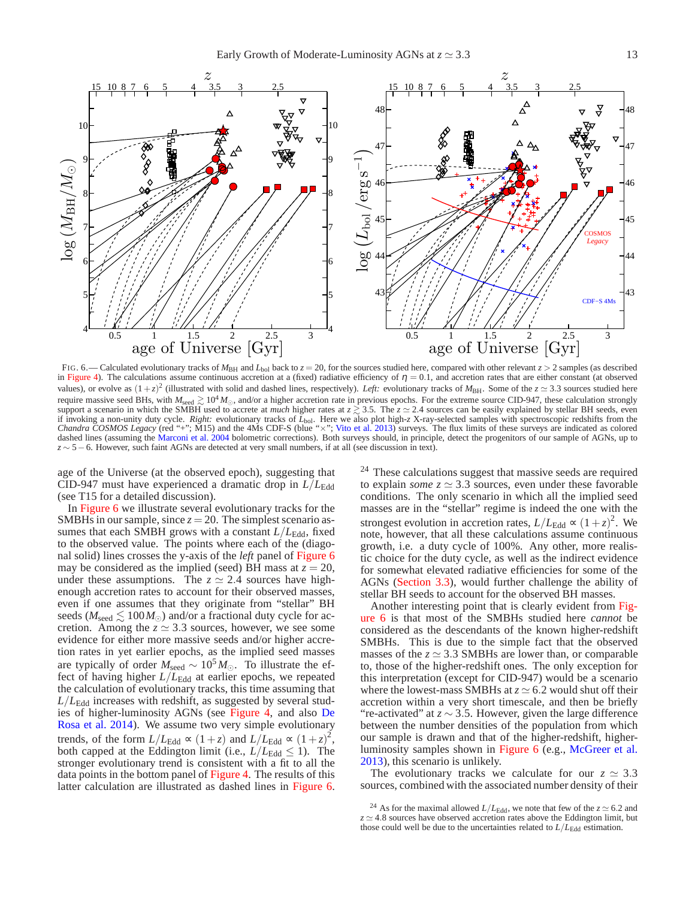

<span id="page-12-0"></span>

FIG. 6.— Calculated evolutionary tracks of  $M_{\text{BH}}$  and  $L_{\text{bol}}$  back to  $z = 20$ , for the sources studied here, compared with other relevant  $z > 2$  samples (as described in [Figure 4\)](#page-10-0). The calculations assume continuous accretion at a (fixed) radiative efficiency of  $\eta = 0.1$ , and accretion rates that are either constant (at observed values), or evolve as  $(1+z)^2$  (illustrated with solid and dashed lines, respectively). *Left:* evolutionary tracks of  $M_{\rm BH}$ . Some of the  $z \approx 3.3$  sources studied here require massive seed BHs, with  $M_{\text{seed}} \gtrsim 10^4 M_{\odot}$ , and/or a higher accretion rate in previous epochs. For the extreme source CID-947, these calculation strongly support a scenario in which the SMBH used to accrete at *much* higher rates at  $z \gtrsim 3.5$ . The  $z \simeq 2.4$  sources can be easily explained by stellar BH seeds, even if invoking a non-unity duty cycle. *Right:* evolutionary tracks of *L*bol. Here we also plot high-*z* X-ray-selected samples with spectroscopic redshifts from the *Chandra COSMOS Legacy* (red "+"; M15) and the 4Ms CDF-S (blue "×"; [Vito et al. 2013](#page-15-45)) surveys. The flux limits of these surveys are indicated as colored dashed lines (assuming the [Marconi et al. 2004](#page-15-1) bolometric corrections). Both surveys should, in principle, detect the progenitors of our sample of AGNs, up to *z* ∼ 5 – 6. However, such faint AGNs are detected at very small numbers, if at all (see discussion in text).

age of the Universe (at the observed epoch), suggesting that CID-947 must have experienced a dramatic drop in  $L/L_{\text{Edd}}$ (see T15 for a detailed discussion).

In [Figure 6](#page-12-0) we illustrate several evolutionary tracks for the SMBHs in our sample, since  $z = 20$ . The simplest scenario assumes that each SMBH grows with a constant  $L/L_{\text{Edd}}$ , fixed to the observed value. The points where each of the (diagonal solid) lines crosses the y-axis of the *left* panel of [Figure 6](#page-12-0) may be considered as the implied (seed) BH mass at  $z = 20$ , under these assumptions. The  $z \approx 2.4$  sources have highenough accretion rates to account for their observed masses, even if one assumes that they originate from "stellar" BH seeds ( $M_{\text{seed}} \lesssim 100 M_{\odot}$ ) and/or a fractional duty cycle for accretion. Among the  $z \approx 3.3$  sources, however, we see some evidence for either more massive seeds and/or higher accretion rates in yet earlier epochs, as the implied seed masses are typically of order *M*seed ∼ 10<sup>5</sup> *M*⊙. To illustrate the effect of having higher  $L/L_{\text{Edd}}$  at earlier epochs, we repeated the calculation of evolutionary tracks, this time assuming that  $L/L_{\rm Edd}$  increases with redshift, as suggested by several studies of hig[her-luminosity AGNs \(see](#page-15-29) [Figure 4,](#page-10-0) and also De Rosa et al. [2014](#page-15-29)). We assume two very simple evolutionary trends, of the form  $L/L_{\text{Edd}} \propto (1+z)$  and  $L/L_{\text{Edd}} \propto (1+z)^2$ , both capped at the Eddington limit (i.e.,  $L/L_{\text{Edd}} \leq 1$ ). The stronger evolutionary trend is consistent with a fit to all the data points in the bottom panel of [Figure 4.](#page-10-0) The results of this latter calculation are illustrated as dashed lines in [Figure 6.](#page-12-0)

<sup>24</sup> These calculations suggest that massive seeds are required to explain *some*  $z \approx 3.3$  sources, even under these favorable conditions. The only scenario in which all the implied seed masses are in the "stellar" regime is indeed the one with the strongest evolution in accretion rates,  $L/L_{\text{Edd}} \propto (1+z)^2$ . We note, however, that all these calculations assume continuous growth, i.e. a duty cycle of 100%. Any other, more realistic choice for the duty cycle, as well as the indirect evidence for somewhat elevated radiative efficiencies for some of the AGNs [\(Section 3.3\)](#page-11-4), would further challenge the ability of stellar BH seeds to account for the observed BH masses.

Another interesting point that is clearly evident from Figure 6 is that most of the SMBHs studied here *cannot* be considered as the descendants of the known higher-redshift SMBHs. This is due to the simple fact that the observed masses of the  $z \approx 3.3$  SMBHs are lower than, or comparable to, those of the higher-redshift ones. The only exception for this interpretation (except for CID-947) would be a scenario where the lowest-mass SMBHs at  $z \approx 6.2$  would shut off their accretion within a very short timescale, and then be briefly "re-activated" at *z* ∼ 3.5. However, given the large difference between the number densities of the population from which our sample is drawn and that of the higher-redshift, higherluminosity samples shown in [Figure 6](#page-12-0) (e.g., [McGreer et al.](#page-15-8) [2013\)](#page-15-8), this scenario is unlikely.

The evolutionary tracks we calculate for our  $z \approx 3.3$ sources, combined with the associated number density of their

<sup>&</sup>lt;sup>24</sup> As for the maximal allowed *L*/*L*<sub>Edd</sub>, we note that few of the  $z \approx 6.2$  and  $z \approx 4.8$  sources have observed accretion rates above the Eddington limit, but those could well be due to the uncertainties related to  $L/L_{\rm Edd}$  estimation.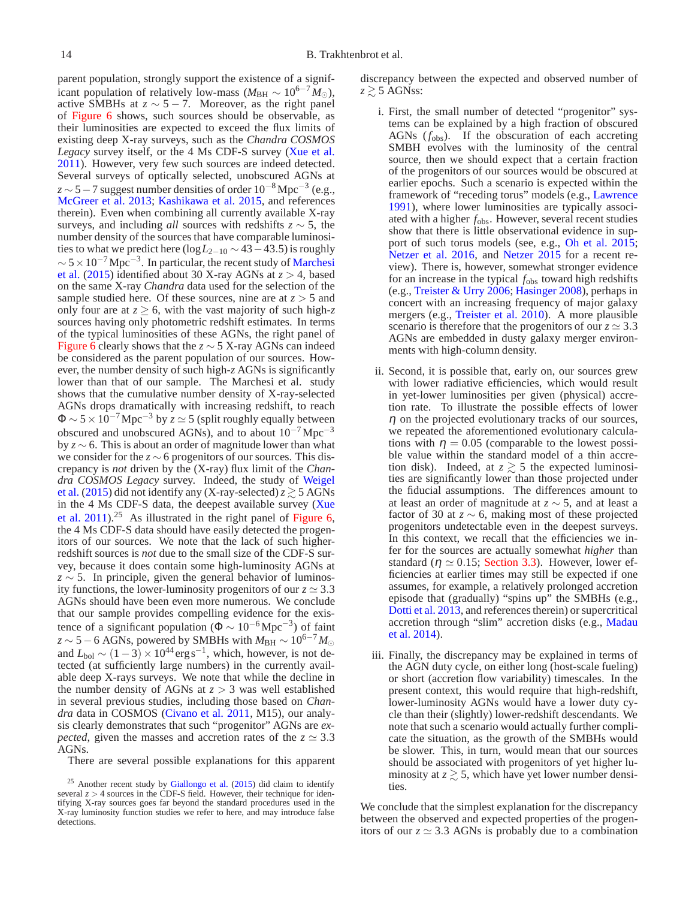parent population, strongly support the existence of a significant population of relatively low-mass ( $M_{\text{BH}} \sim 10^{6-7} M_{\odot}$ ), active SMBHs at  $z \sim 5 - 7$ . Moreover, as the right panel of [Figure 6](#page-12-0) shows, such sources should be observable, as their luminosities are expected to exceed the flux limits of existing deep X-ray surveys, such as the *Chandra COSMOS Legacy* survey itself, or the 4 Ms CDF-S survey [\(Xue et al.](#page-15-41) [2011\)](#page-15-41). However, very few such sources are indeed detected. Several surveys of optically selected, unobscured AGNs at  $z \sim 5-7$  suggest number densities of order  $10^{-8}$  Mpc<sup>-3</sup> (e.g., [McGreer et al. 2013;](#page-15-8) [Kashikawa et al. 2015,](#page-15-118) and references therein). Even when combining all currently available X-ray surveys, and including *all* sources with redshifts *z* ∼ 5, the number density of the sources that have comparable luminosities to what we predict here (log $L_{2-10}$  ~ 43 – 43.5) is roughly  $\sim$  5  $\times$  10<sup>-7</sup>Mpc<sup>-3</sup>[. In particular, the recent study of](#page-15-46) Marchesi et al. [\(2015\)](#page-15-46) identified about 30 X-ray AGNs at *z* > 4, based on the same X-ray *Chandra* data used for the selection of the sample studied here. Of these sources, nine are at *z* > 5 and only four are at  $z \ge 6$ , with the vast majority of such high-*z* sources having only photometric redshift estimates. In terms of the typical luminosities of these AGNs, the right panel of [Figure 6](#page-12-0) clearly shows that the *z* ∼ 5 X-ray AGNs can indeed be considered as the parent population of our sources. However, the number density of such high-*z* AGNs is significantly lower than that of our sample. The Marchesi et al. study shows that the cumulative number density of X-ray-selected AGNs drops dramatically with increasing redshift, to reach  $\Phi \sim 5 \times 10^{-7}$  Mpc<sup>-3</sup> by  $z \simeq 5$  (split roughly equally between obscured and unobscured AGNs), and to about  $10^{-7}$  Mpc<sup>-3</sup> by *z* ∼ 6. This is about an order of magnitude lower than what we consider for the *z* ∼ 6 progenitors of our sources. This discrepancy is *not* driven by the (X-ray) flux limit of the *Chandra COSMOS Legacy* [survey. Indeed, the study of](#page-15-119) Weigel et al. [\(2015\)](#page-15-119) did not identify any (X-ray-selected)  $z \gtrsim 5$  AGNs in th[e 4 Ms CDF-S data, the deepest available survey \(](#page-15-41)Xue et al.  $2011$ ).<sup>25</sup> As illustrated in the right panel of [Figure 6,](#page-12-0) the 4 Ms CDF-S data should have easily detected the progenitors of our sources. We note that the lack of such higherredshift sources is *not* due to the small size of the CDF-S survey, because it does contain some high-luminosity AGNs at *z* ∼ 5. In principle, given the general behavior of luminosity functions, the lower-luminosity progenitors of our  $z \approx 3.3$ AGNs should have been even more numerous. We conclude that our sample provides compelling evidence for the existence of a significant population ( $\Phi \sim 10^{-6}$  Mpc<sup>-3</sup>) of faint  $z \sim 5-6$  AGNs, powered by SMBHs with  $M_{BH} \sim 10^{6-7} M_{\odot}$ and  $L_{bol} \sim (1-3) \times 10^{44} \text{ erg s}^{-1}$ , which, however, is not detected (at sufficiently large numbers) in the currently available deep X-rays surveys. We note that while the decline in the number density of AGNs at  $z > 3$  was well established in several previous studies, including those based on *Chandra* data in COSMOS [\(Civano et al. 2011](#page-15-7), M15), our analysis clearly demonstrates that such "progenitor" AGNs are *expected*, given the masses and accretion rates of the  $z \approx 3.3$ AGNs.

There are several possible explanations for this apparent

- <span id="page-13-2"></span><span id="page-13-0"></span>discrepancy between the expected and observed number of  $z \gtrsim$  5 AGNss:
	- i. First, the small number of detected "progenitor" systems can be explained by a high fraction of obscured AGNs  $(f_{obs})$ . If the obscuration of each accreting SMBH evolves with the luminosity of the central source, then we should expect that a certain fraction of the progenitors of our sources would be obscured at earlier epochs. Such a scenario is expected within the framework of "receding torus" models (e.g., [Lawrence](#page-15-121) [1991\)](#page-15-121), where lower luminosities are typically associated with a higher *f*obs. However, several recent studies show that there is little observational evidence in support of such torus models (see, e.g., [Oh et al. 2015](#page-15-122); [Netzer et al. 2016](#page-15-123), and [Netzer 2015](#page-15-124) for a recent review). There is, however, somewhat stronger evidence for an increase in the typical  $f_{\text{obs}}$  toward high redshifts (e.g., [Treister & Urry 2006;](#page-15-125) [Hasinger 2008\)](#page-15-126), perhaps in concert with an increasing frequency of major galaxy mergers (e.g., [Treister et al. 2010\)](#page-15-127). A more plausible scenario is therefore that the progenitors of our  $z \approx 3.3$ AGNs are embedded in dusty galaxy merger environments with high-column density.
	- ii. Second, it is possible that, early on, our sources grew with lower radiative efficiencies, which would result in yet-lower luminosities per given (physical) accretion rate. To illustrate the possible effects of lower  $\eta$  on the projected evolutionary tracks of our sources, we repeated the aforementioned evolutionary calculations with  $\eta = 0.05$  (comparable to the lowest possible value within the standard model of a thin accretion disk). Indeed, at  $z \gtrsim 5$  the expected luminosities are significantly lower than those projected under the fiducial assumptions. The differences amount to at least an order of magnitude at *z* ∼ 5, and at least a factor of 30 at *z* ∼ 6, making most of these projected progenitors undetectable even in the deepest surveys. In this context, we recall that the efficiencies we infer for the sources are actually somewhat *higher* than standard ( $\eta \simeq 0.15$ ; [Section 3.3\)](#page-11-4). However, lower efficiencies at earlier times may still be expected if one assumes, for example, a relatively prolonged accretion episode that (gradually) "spins up" the SMBHs (e.g., [Dotti et al. 2013,](#page-15-128) and references therein) or supercritical accr[etion through "slim" accretion disks \(e.g.,](#page-15-34) Madau et al. [2014](#page-15-34)).
	- iii. Finally, the discrepancy may be explained in terms of the AGN duty cycle, on either long (host-scale fueling) or short (accretion flow variability) timescales. In the present context, this would require that high-redshift, lower-luminosity AGNs would have a lower duty cycle than their (slightly) lower-redshift descendants. We note that such a scenario would actually further complicate the situation, as the growth of the SMBHs would be slower. This, in turn, would mean that our sources should be associated with progenitors of yet higher luminosity at  $z \gtrsim 5$ , which have yet lower number densities.

<span id="page-13-1"></span>We conclude that the simplest explanation for the discrepancy between the observed and expected properties of the progenitors of our  $z \approx 3.3$  AGNs is probably due to a combination

<sup>25</sup> Another recent study by [Giallongo et al.](#page-15-120) [\(2015](#page-15-120)) did claim to identify several  $z > 4$  sources in the CDF-S field. However, their technique for identifying X-ray sources goes far beyond the standard procedures used in the X-ray luminosity function studies we refer to here, and may introduce false detections.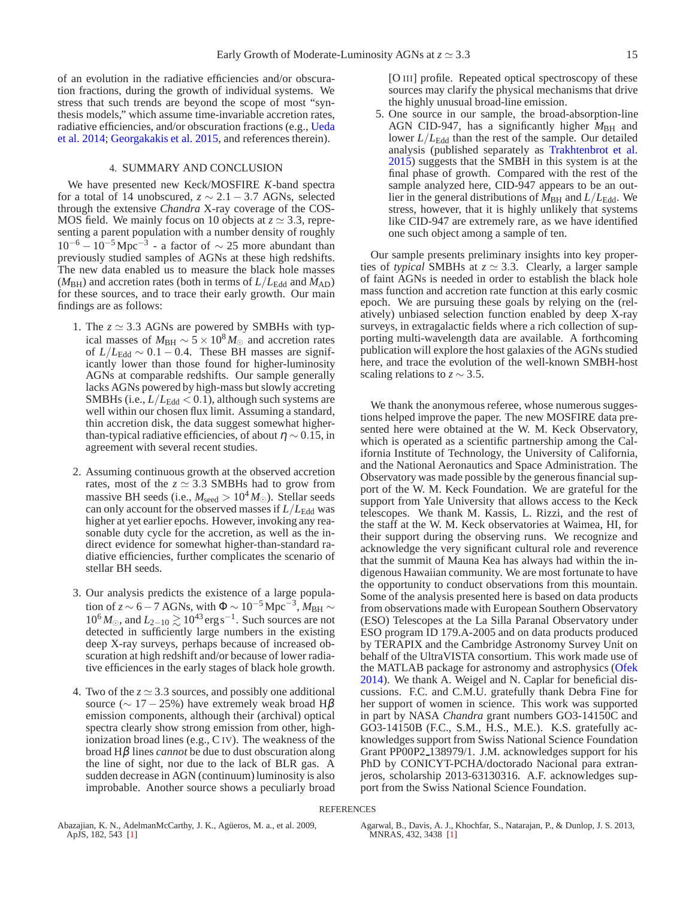of an evolution in the radiative efficiencies and/or obscuration fractions, during the growth of individual systems. We stress that such trends are beyond the scope of most "synthesis models," which assume time-invariable accretion rates, radi[ative efficiencies, and/or obscuration fractions \(e.g.,](#page-15-3) Ueda et al. [2014;](#page-15-3) [Georgakakis et al. 2015](#page-15-13), and references therein).

## 4. SUMMARY AND CONCLUSION

<span id="page-14-1"></span>We have presented new Keck/MOSFIRE *K*-band spectra for a total of 14 unobscured,  $z \sim 2.1 - 3.7$  AGNs, selected through the extensive *Chandra* X-ray coverage of the COS-MOS field. We mainly focus on 10 objects at  $z \approx 3.3$ , representing a parent population with a number density of roughly  $10^{-6} - 10^{-5}$  Mpc<sup>-3</sup> - a factor of  $\sim$  25 more abundant than previously studied samples of AGNs at these high redshifts. The new data enabled us to measure the black hole masses  $(M_{\text{BH}})$  and accretion rates (both in terms of  $L/L_{\text{Edd}}$  and  $M_{AD}$ ) for these sources, and to trace their early growth. Our main findings are as follows:

- 1. The  $z \approx 3.3$  AGNs are powered by SMBHs with typical masses of  $M_{\text{BH}} \sim 5 \times 10^8 M_{\odot}$  and accretion rates of  $L/L_{\text{Edd}}$  ~ 0.1 − 0.4. These BH masses are significantly lower than those found for higher-luminosity AGNs at comparable redshifts. Our sample generally lacks AGNs powered by high-mass but slowly accreting SMBHs (i.e.,  $L/L_{\rm Edd} < 0.1$ ), although such systems are well within our chosen flux limit. Assuming a standard, thin accretion disk, the data suggest somewhat higherthan-typical radiative efficiencies, of about  $\eta \sim 0.15$ , in agreement with several recent studies.
- 2. Assuming continuous growth at the observed accretion rates, most of the  $z \approx 3.3$  SMBHs had to grow from massive BH seeds (i.e.,  $M_{\text{seed}} > 10^4 M_{\odot}$ ). Stellar seeds can only account for the observed masses if *L*/*L*Edd was higher at yet earlier epochs. However, invoking any reasonable duty cycle for the accretion, as well as the indirect evidence for somewhat higher-than-standard radiative efficiencies, further complicates the scenario of stellar BH seeds.
- 3. Our analysis predicts the existence of a large population of *z* ∼ 6 – 7 AGNs, with  $\Phi$  ∼ 10<sup>-5</sup> Mpc<sup>-3</sup>, M<sub>BH</sub> ∼  $10^6 M_{\odot}$ , and  $L_{2-10} \gtrsim 10^{43} \text{erg s}^{-1}$ . Such sources are not detected in sufficiently large numbers in the existing deep X-ray surveys, perhaps because of increased obscuration at high redshift and/or because of lower radiative efficiences in the early stages of black hole growth.
- 4. Two of the  $z \approx 3.3$  sources, and possibly one additional source ( $\sim 17 - 25\%$ ) have extremely weak broad H $\beta$ emission components, although their (archival) optical spectra clearly show strong emission from other, highionization broad lines (e.g., C IV). The weakness of the broad Hβ lines *cannot* be due to dust obscuration along the line of sight, nor due to the lack of BLR gas. A sudden decrease in AGN (continuum) luminosity is also improbable. Another source shows a peculiarly broad

[O III] profile. Repeated optical spectroscopy of these sources may clarify the physical mechanisms that drive the highly unusual broad-line emission.

<span id="page-14-3"></span>5. One source in our sample, the broad-absorption-line AGN CID-947, has a significantly higher  $M_{\text{BH}}$  and lower  $L/L_{\rm Edd}$  than the rest of the sample. Our detailed analysis (published separately as [Trakhtenbrot et al.](#page-15-49) [2015\)](#page-15-49) suggests that the SMBH in this system is at the final phase of growth. Compared with the rest of the sample analyzed here, CID-947 appears to be an outlier in the general distributions of  $M_{\text{BH}}$  and  $L/L_{\text{Edd}}$ . We stress, however, that it is highly unlikely that systems like CID-947 are extremely rare, as we have identified one such object among a sample of ten.

Our sample presents preliminary insights into key properties of *typical* SMBHs at  $z \approx 3.3$ . Clearly, a larger sample of faint AGNs is needed in order to establish the black hole mass function and accretion rate function at this early cosmic epoch. We are pursuing these goals by relying on the (relatively) unbiased selection function enabled by deep X-ray surveys, in extragalactic fields where a rich collection of supporting multi-wavelength data are available. A forthcoming publication will explore the host galaxies of the AGNs studied here, and trace the evolution of the well-known SMBH-host scaling relations to  $z \sim 3.5$ .

We thank the anonymous referee, whose numerous suggestions helped improve the paper. The new MOSFIRE data presented here were obtained at the W. M. Keck Observatory, which is operated as a scientific partnership among the California Institute of Technology, the University of California, and the National Aeronautics and Space Administration. The Observatory was made possible by the generous financial support of the W. M. Keck Foundation. We are grateful for the support from Yale University that allows access to the Keck telescopes. We thank M. Kassis, L. Rizzi, and the rest of the staff at the W. M. Keck observatories at Waimea, HI, for their support during the observing runs. We recognize and acknowledge the very significant cultural role and reverence that the summit of Mauna Kea has always had within the indigenous Hawaiian community. We are most fortunate to have the opportunity to conduct observations from this mountain. Some of the analysis presented here is based on data products from observations made with European Southern Observatory (ESO) Telescopes at the La Silla Paranal Observatory under ESO program ID 179.A-2005 and on data products produced by TERAPIX and the Cambridge Astronomy Survey Unit on behalf of the UltraVISTA consortium. This work made use of the MATLAB package for astronomy and astrophysics [\(Ofek](#page-15-129) [2014\)](#page-15-129). We thank A. Weigel and N. Caplar for beneficial discussions. F.C. and C.M.U. gratefully thank Debra Fine for her support of women in science. This work was supported in part by NASA *Chandra* grant numbers GO3-14150C and GO3-14150B (F.C., S.M., H.S., M.E.). K.S. gratefully acknowledges support from Swiss National Science Foundation Grant PP00P2 138979/1. J.M. acknowledges support for his PhD by CONICYT-PCHA/doctorado Nacional para extranjeros, scholarship 2013-63130316. A.F. acknowledges support from the Swiss National Science Foundation.

# **REFERENCES**

<span id="page-14-2"></span>Abazajian, K. N., AdelmanMcCarthy, J. K., Agüeros, M. a., et al. 2009, ApJS, 182, 543 [\[1\]](#page-3-0)

<span id="page-14-0"></span>Agarwal, B., Davis, A. J., Khochfar, S., Natarajan, P., & Dunlop, J. S. 2013, MNRAS, 432, 3438 [\[1\]](#page-0-0)